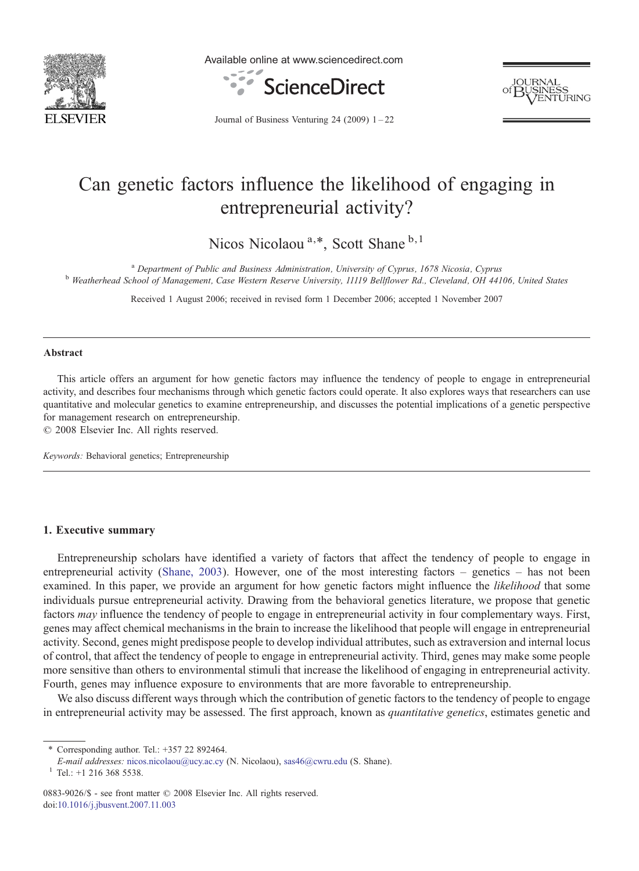

Available online at www.sciencedirect.com





Journal of Business Venturing 24 (2009) 1–22

# Can genetic factors influence the likelihood of engaging in entrepreneurial activity?

Nicos Nicolaou<sup>a,\*</sup>, Scott Shane<sup>b,1</sup>

<sup>a</sup> Department of Public and Business Administration, University of Cyprus, 1678 Nicosia, Cyprus<br><sup>b</sup> Weatherhead School of Management, Case Western Reserve University, 11119 Bellflower Rd., Cleveland, OH 44106, United Stat

Received 1 August 2006; received in revised form 1 December 2006; accepted 1 November 2007

#### Abstract

This article offers an argument for how genetic factors may influence the tendency of people to engage in entrepreneurial activity, and describes four mechanisms through which genetic factors could operate. It also explores ways that researchers can use quantitative and molecular genetics to examine entrepreneurship, and discusses the potential implications of a genetic perspective for management research on entrepreneurship.

© 2008 Elsevier Inc. All rights reserved.

Keywords: Behavioral genetics; Entrepreneurship

# 1. Executive summary

Entrepreneurship scholars have identified a variety of factors that affect the tendency of people to engage in entrepreneurial activity [\(Shane, 2003](#page-20-0)). However, one of the most interesting factors – genetics – has not been examined. In this paper, we provide an argument for how genetic factors might influence the *likelihood* that some individuals pursue entrepreneurial activity. Drawing from the behavioral genetics literature, we propose that genetic factors may influence the tendency of people to engage in entrepreneurial activity in four complementary ways. First, genes may affect chemical mechanisms in the brain to increase the likelihood that people will engage in entrepreneurial activity. Second, genes might predispose people to develop individual attributes, such as extraversion and internal locus of control, that affect the tendency of people to engage in entrepreneurial activity. Third, genes may make some people more sensitive than others to environmental stimuli that increase the likelihood of engaging in entrepreneurial activity. Fourth, genes may influence exposure to environments that are more favorable to entrepreneurship.

We also discuss different ways through which the contribution of genetic factors to the tendency of people to engage in entrepreneurial activity may be assessed. The first approach, known as *quantitative genetics*, estimates genetic and

⁎ Corresponding author. Tel.: +357 22 892464.

0883-9026/\$ - see front matter © 2008 Elsevier Inc. All rights reserved. doi[:10.1016/j.jbusvent.2007.11.003](http://dx.doi.org/10.1016/j.jbusvent.2007.11.003)

E-mail addresses: [nicos.nicolaou@ucy.ac.cy](mailto:nicos.nicolaou@ucy.ac.cy) (N. Nicolaou), [sas46@cwru.edu](mailto:sas46@cwru.edu) (S. Shane). <sup>1</sup> Tel.: +1 216 368 5538.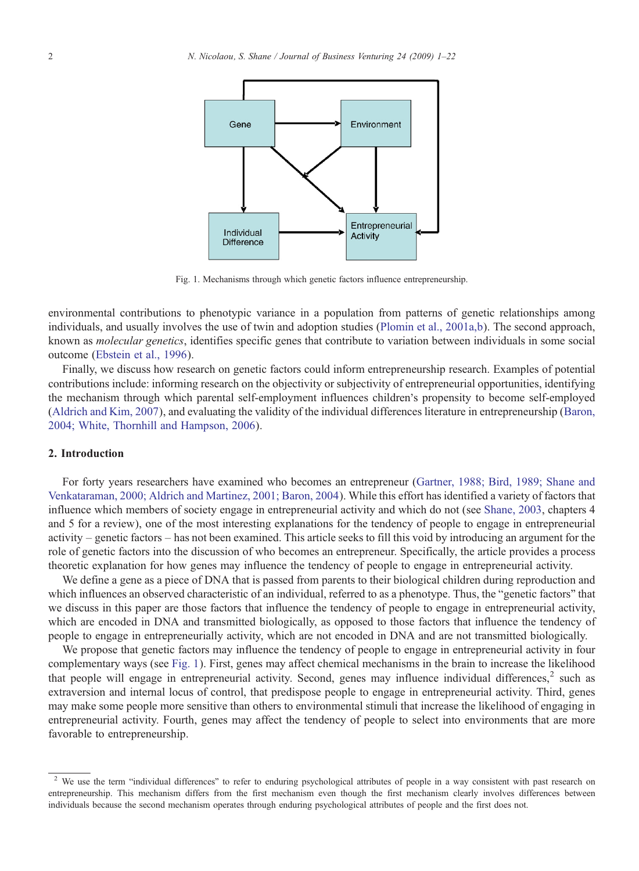<span id="page-1-0"></span>

Fig. 1. Mechanisms through which genetic factors influence entrepreneurship.

environmental contributions to phenotypic variance in a population from patterns of genetic relationships among individuals, and usually involves the use of twin and adoption studies [\(Plomin et al., 2001a,b\)](#page-20-0). The second approach, known as molecular genetics, identifies specific genes that contribute to variation between individuals in some social outcome ([Ebstein et al., 1996](#page-18-0)).

Finally, we discuss how research on genetic factors could inform entrepreneurship research. Examples of potential contributions include: informing research on the objectivity or subjectivity of entrepreneurial opportunities, identifying the mechanism through which parental self-employment influences children's propensity to become self-employed ([Aldrich and Kim, 2007](#page-17-0)), and evaluating the validity of the individual differences literature in entrepreneurship ([Baron,](#page-17-0) [2004; White, Thornhill and Hampson, 2006\)](#page-17-0).

## 2. Introduction

For forty years researchers have examined who becomes an entrepreneur ([Gartner, 1988; Bird, 1989; Shane and](#page-18-0) [Venkataraman, 2000; Aldrich and Martinez, 2001; Baron, 2004\)](#page-18-0). While this effort has identified a variety of factors that influence which members of society engage in entrepreneurial activity and which do not (see [Shane, 2003,](#page-20-0) chapters 4 and 5 for a review), one of the most interesting explanations for the tendency of people to engage in entrepreneurial activity – genetic factors – has not been examined. This article seeks to fill this void by introducing an argument for the role of genetic factors into the discussion of who becomes an entrepreneur. Specifically, the article provides a process theoretic explanation for how genes may influence the tendency of people to engage in entrepreneurial activity.

We define a gene as a piece of DNA that is passed from parents to their biological children during reproduction and which influences an observed characteristic of an individual, referred to as a phenotype. Thus, the "genetic factors" that we discuss in this paper are those factors that influence the tendency of people to engage in entrepreneurial activity, which are encoded in DNA and transmitted biologically, as opposed to those factors that influence the tendency of people to engage in entrepreneurially activity, which are not encoded in DNA and are not transmitted biologically.

We propose that genetic factors may influence the tendency of people to engage in entrepreneurial activity in four complementary ways (see Fig. 1). First, genes may affect chemical mechanisms in the brain to increase the likelihood that people will engage in entrepreneurial activity. Second, genes may influence individual differences, $\frac{2}{3}$  such as extraversion and internal locus of control, that predispose people to engage in entrepreneurial activity. Third, genes may make some people more sensitive than others to environmental stimuli that increase the likelihood of engaging in entrepreneurial activity. Fourth, genes may affect the tendency of people to select into environments that are more favorable to entrepreneurship.

<sup>&</sup>lt;sup>2</sup> We use the term "individual differences" to refer to enduring psychological attributes of people in a way consistent with past research on entrepreneurship. This mechanism differs from the first mechanism even though the first mechanism clearly involves differences between individuals because the second mechanism operates through enduring psychological attributes of people and the first does not.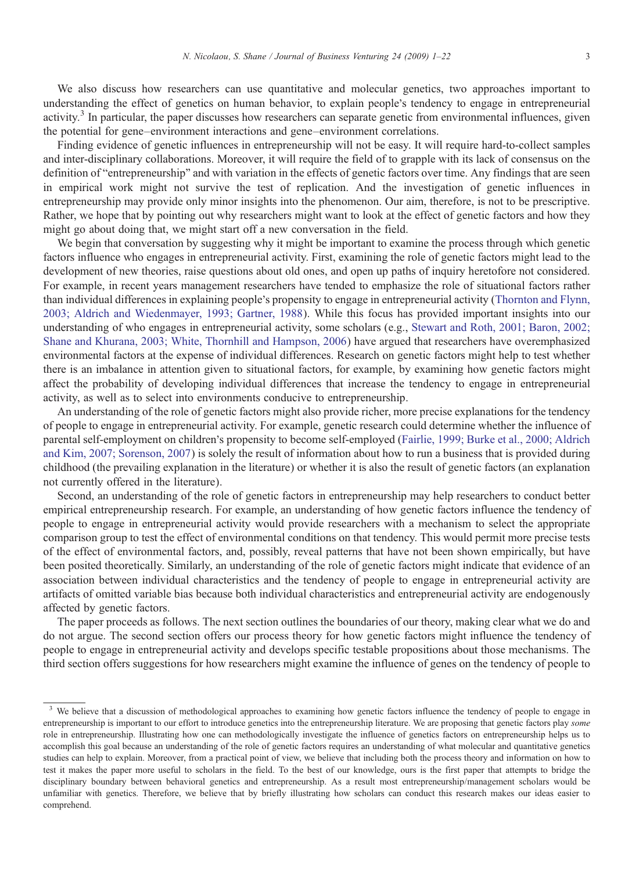We also discuss how researchers can use quantitative and molecular genetics, two approaches important to understanding the effect of genetics on human behavior, to explain people's tendency to engage in entrepreneurial activity.<sup>3</sup> In particular, the paper discusses how researchers can separate genetic from environmental influences, given the potential for gene–environment interactions and gene–environment correlations.

Finding evidence of genetic influences in entrepreneurship will not be easy. It will require hard-to-collect samples and inter-disciplinary collaborations. Moreover, it will require the field of to grapple with its lack of consensus on the definition of "entrepreneurship" and with variation in the effects of genetic factors over time. Any findings that are seen in empirical work might not survive the test of replication. And the investigation of genetic influences in entrepreneurship may provide only minor insights into the phenomenon. Our aim, therefore, is not to be prescriptive. Rather, we hope that by pointing out why researchers might want to look at the effect of genetic factors and how they might go about doing that, we might start off a new conversation in the field.

We begin that conversation by suggesting why it might be important to examine the process through which genetic factors influence who engages in entrepreneurial activity. First, examining the role of genetic factors might lead to the development of new theories, raise questions about old ones, and open up paths of inquiry heretofore not considered. For example, in recent years management researchers have tended to emphasize the role of situational factors rather than individual differences in explaining people's propensity to engage in entrepreneurial activity [\(Thornton and Flynn,](#page-21-0) [2003; Aldrich and Wiedenmayer, 1993; Gartner, 1988](#page-21-0)). While this focus has provided important insights into our understanding of who engages in entrepreneurial activity, some scholars (e.g., [Stewart and Roth, 2001; Baron, 2002;](#page-20-0) [Shane and Khurana, 2003; White, Thornhill and Hampson, 2006](#page-20-0)) have argued that researchers have overemphasized environmental factors at the expense of individual differences. Research on genetic factors might help to test whether there is an imbalance in attention given to situational factors, for example, by examining how genetic factors might affect the probability of developing individual differences that increase the tendency to engage in entrepreneurial activity, as well as to select into environments conducive to entrepreneurship.

An understanding of the role of genetic factors might also provide richer, more precise explanations for the tendency of people to engage in entrepreneurial activity. For example, genetic research could determine whether the influence of parental self-employment on children's propensity to become self-employed [\(Fairlie, 1999; Burke et al., 2000; Aldrich](#page-18-0) [and Kim, 2007; Sorenson, 2007\)](#page-18-0) is solely the result of information about how to run a business that is provided during childhood (the prevailing explanation in the literature) or whether it is also the result of genetic factors (an explanation not currently offered in the literature).

Second, an understanding of the role of genetic factors in entrepreneurship may help researchers to conduct better empirical entrepreneurship research. For example, an understanding of how genetic factors influence the tendency of people to engage in entrepreneurial activity would provide researchers with a mechanism to select the appropriate comparison group to test the effect of environmental conditions on that tendency. This would permit more precise tests of the effect of environmental factors, and, possibly, reveal patterns that have not been shown empirically, but have been posited theoretically. Similarly, an understanding of the role of genetic factors might indicate that evidence of an association between individual characteristics and the tendency of people to engage in entrepreneurial activity are artifacts of omitted variable bias because both individual characteristics and entrepreneurial activity are endogenously affected by genetic factors.

The paper proceeds as follows. The next section outlines the boundaries of our theory, making clear what we do and do not argue. The second section offers our process theory for how genetic factors might influence the tendency of people to engage in entrepreneurial activity and develops specific testable propositions about those mechanisms. The third section offers suggestions for how researchers might examine the influence of genes on the tendency of people to

<sup>&</sup>lt;sup>3</sup> We believe that a discussion of methodological approaches to examining how genetic factors influence the tendency of people to engage in entrepreneurship is important to our effort to introduce genetics into the entrepreneurship literature. We are proposing that genetic factors play some role in entrepreneurship. Illustrating how one can methodologically investigate the influence of genetics factors on entrepreneurship helps us to accomplish this goal because an understanding of the role of genetic factors requires an understanding of what molecular and quantitative genetics studies can help to explain. Moreover, from a practical point of view, we believe that including both the process theory and information on how to test it makes the paper more useful to scholars in the field. To the best of our knowledge, ours is the first paper that attempts to bridge the disciplinary boundary between behavioral genetics and entrepreneurship. As a result most entrepreneurship/management scholars would be unfamiliar with genetics. Therefore, we believe that by briefly illustrating how scholars can conduct this research makes our ideas easier to comprehend.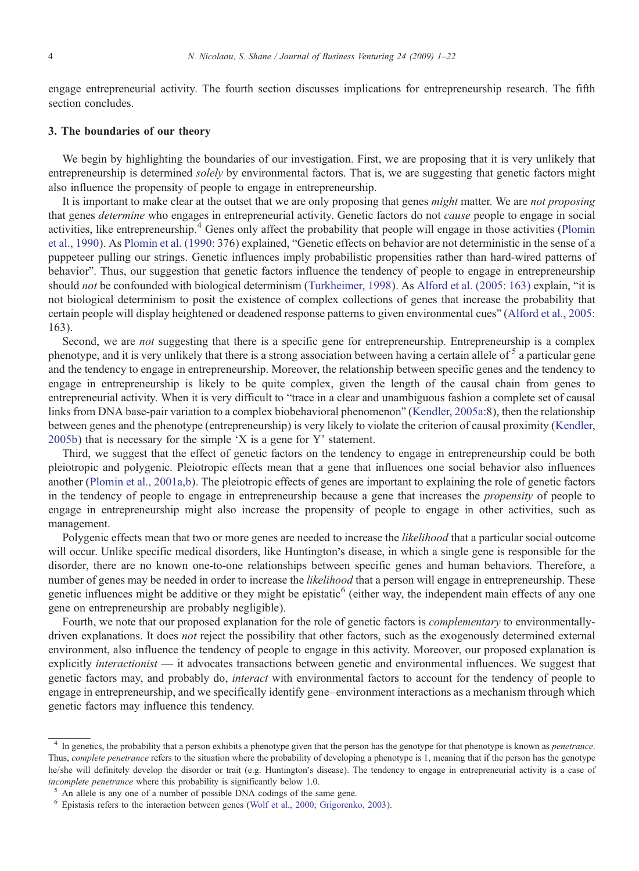engage entrepreneurial activity. The fourth section discusses implications for entrepreneurship research. The fifth section concludes.

# 3. The boundaries of our theory

We begin by highlighting the boundaries of our investigation. First, we are proposing that it is very unlikely that entrepreneurship is determined *solely* by environmental factors. That is, we are suggesting that genetic factors might also influence the propensity of people to engage in entrepreneurship.

It is important to make clear at the outset that we are only proposing that genes *might* matter. We are *not proposing* that genes determine who engages in entrepreneurial activity. Genetic factors do not cause people to engage in social activities, like entrepreneurship.<sup>4</sup> Genes only affect the probability that people will engage in those activities ([Plomin](#page-20-0) [et al., 1990](#page-20-0)). As [Plomin et al. \(1990:](#page-20-0) 376) explained, "Genetic effects on behavior are not deterministic in the sense of a puppeteer pulling our strings. Genetic influences imply probabilistic propensities rather than hard-wired patterns of behavior". Thus, our suggestion that genetic factors influence the tendency of people to engage in entrepreneurship should not be confounded with biological determinism ([Turkheimer, 1998\)](#page-21-0). As [Alford et al. \(2005: 163\)](#page-17-0) explain, "it is not biological determinism to posit the existence of complex collections of genes that increase the probability that certain people will display heightened or deadened response patterns to given environmental cues" ([Alford et al., 2005:](#page-17-0) 163).

Second, we are not suggesting that there is a specific gene for entrepreneurship. Entrepreneurship is a complex phenotype, and it is very unlikely that there is a strong association between having a certain allele of <sup>5</sup> a particular gene and the tendency to engage in entrepreneurship. Moreover, the relationship between specific genes and the tendency to engage in entrepreneurship is likely to be quite complex, given the length of the causal chain from genes to entrepreneurial activity. When it is very difficult to "trace in a clear and unambiguous fashion a complete set of causal links from DNA base-pair variation to a complex biobehavioral phenomenon" ([Kendler, 2005a:](#page-19-0)8), then the relationship between genes and the phenotype (entrepreneurship) is very likely to violate the criterion of causal proximity [\(Kendler,](#page-19-0) [2005b](#page-19-0)) that is necessary for the simple 'X is a gene for Y' statement.

Third, we suggest that the effect of genetic factors on the tendency to engage in entrepreneurship could be both pleiotropic and polygenic. Pleiotropic effects mean that a gene that influences one social behavior also influences another ([Plomin et al., 2001a,b](#page-20-0)). The pleiotropic effects of genes are important to explaining the role of genetic factors in the tendency of people to engage in entrepreneurship because a gene that increases the propensity of people to engage in entrepreneurship might also increase the propensity of people to engage in other activities, such as management.

Polygenic effects mean that two or more genes are needed to increase the *likelihood* that a particular social outcome will occur. Unlike specific medical disorders, like Huntington's disease, in which a single gene is responsible for the disorder, there are no known one-to-one relationships between specific genes and human behaviors. Therefore, a number of genes may be needed in order to increase the *likelihood* that a person will engage in entrepreneurship. These genetic influences might be additive or they might be epistatic<sup>6</sup> (either way, the independent main effects of any one gene on entrepreneurship are probably negligible).

Fourth, we note that our proposed explanation for the role of genetic factors is *complementary* to environmentallydriven explanations. It does *not* reject the possibility that other factors, such as the exogenously determined external environment, also influence the tendency of people to engage in this activity. Moreover, our proposed explanation is explicitly *interactionist* — it advocates transactions between genetic and environmental influences. We suggest that genetic factors may, and probably do, interact with environmental factors to account for the tendency of people to engage in entrepreneurship, and we specifically identify gene–environment interactions as a mechanism through which genetic factors may influence this tendency.

<sup>&</sup>lt;sup>4</sup> In genetics, the probability that a person exhibits a phenotype given that the person has the genotype for that phenotype is known as *penetrance*. Thus, *complete penetrance* refers to the situation where the probability of developing a phenotype is 1, meaning that if the person has the genotype he/she will definitely develop the disorder or trait (e.g. Huntington's disease). The tendency to engage in entrepreneurial activity is a case of incomplete penetrance where this probability is significantly below 1.0. <sup>5</sup> An allele is any one of a number of possible DNA codings of the same gene.

<sup>6</sup> Epistasis refers to the interaction between genes [\(Wolf et al., 2000; Grigorenko, 2003](#page-21-0)).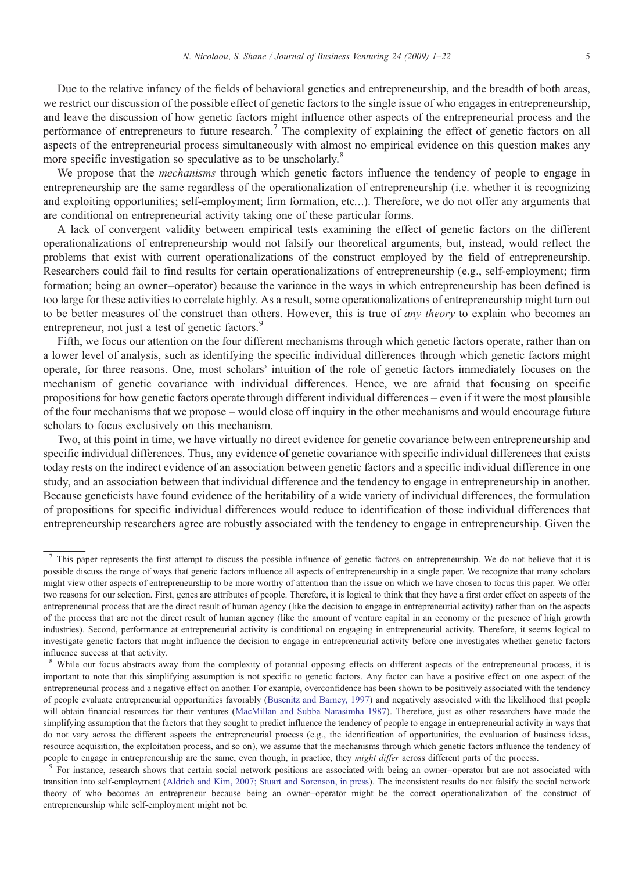Due to the relative infancy of the fields of behavioral genetics and entrepreneurship, and the breadth of both areas, we restrict our discussion of the possible effect of genetic factors to the single issue of who engages in entrepreneurship, and leave the discussion of how genetic factors might influence other aspects of the entrepreneurial process and the performance of entrepreneurs to future research.<sup>7</sup> The complexity of explaining the effect of genetic factors on all aspects of the entrepreneurial process simultaneously with almost no empirical evidence on this question makes any more specific investigation so speculative as to be unscholarly.<sup>8</sup>

We propose that the *mechanisms* through which genetic factors influence the tendency of people to engage in entrepreneurship are the same regardless of the operationalization of entrepreneurship (i.e. whether it is recognizing and exploiting opportunities; self-employment; firm formation, etc…). Therefore, we do not offer any arguments that are conditional on entrepreneurial activity taking one of these particular forms.

A lack of convergent validity between empirical tests examining the effect of genetic factors on the different operationalizations of entrepreneurship would not falsify our theoretical arguments, but, instead, would reflect the problems that exist with current operationalizations of the construct employed by the field of entrepreneurship. Researchers could fail to find results for certain operationalizations of entrepreneurship (e.g., self-employment; firm formation; being an owner–operator) because the variance in the ways in which entrepreneurship has been defined is too large for these activities to correlate highly. As a result, some operationalizations of entrepreneurship might turn out to be better measures of the construct than others. However, this is true of *any theory* to explain who becomes an entrepreneur, not just a test of genetic factors.<sup>9</sup>

Fifth, we focus our attention on the four different mechanisms through which genetic factors operate, rather than on a lower level of analysis, such as identifying the specific individual differences through which genetic factors might operate, for three reasons. One, most scholars' intuition of the role of genetic factors immediately focuses on the mechanism of genetic covariance with individual differences. Hence, we are afraid that focusing on specific propositions for how genetic factors operate through different individual differences – even if it were the most plausible of the four mechanisms that we propose – would close off inquiry in the other mechanisms and would encourage future scholars to focus exclusively on this mechanism.

Two, at this point in time, we have virtually no direct evidence for genetic covariance between entrepreneurship and specific individual differences. Thus, any evidence of genetic covariance with specific individual differences that exists today rests on the indirect evidence of an association between genetic factors and a specific individual difference in one study, and an association between that individual difference and the tendency to engage in entrepreneurship in another. Because geneticists have found evidence of the heritability of a wide variety of individual differences, the formulation of propositions for specific individual differences would reduce to identification of those individual differences that entrepreneurship researchers agree are robustly associated with the tendency to engage in entrepreneurship. Given the

 $<sup>7</sup>$  This paper represents the first attempt to discuss the possible influence of genetic factors on entrepreneurship. We do not believe that it is</sup> possible discuss the range of ways that genetic factors influence all aspects of entrepreneurship in a single paper. We recognize that many scholars might view other aspects of entrepreneurship to be more worthy of attention than the issue on which we have chosen to focus this paper. We offer two reasons for our selection. First, genes are attributes of people. Therefore, it is logical to think that they have a first order effect on aspects of the entrepreneurial process that are the direct result of human agency (like the decision to engage in entrepreneurial activity) rather than on the aspects of the process that are not the direct result of human agency (like the amount of venture capital in an economy or the presence of high growth industries). Second, performance at entrepreneurial activity is conditional on engaging in entrepreneurial activity. Therefore, it seems logical to investigate genetic factors that might influence the decision to engage in entrepreneurial activity before one investigates whether genetic factors influence success at that activity.

<sup>&</sup>lt;sup>8</sup> While our focus abstracts away from the complexity of potential opposing effects on different aspects of the entrepreneurial process, it is important to note that this simplifying assumption is not specific to genetic factors. Any factor can have a positive effect on one aspect of the entrepreneurial process and a negative effect on another. For example, overconfidence has been shown to be positively associated with the tendency of people evaluate entrepreneurial opportunities favorably ([Busenitz and Barney, 1997\)](#page-18-0) and negatively associated with the likelihood that people will obtain financial resources for their ventures ([MacMillan and Subba Narasimha 1987](#page-19-0)). Therefore, just as other researchers have made the simplifying assumption that the factors that they sought to predict influence the tendency of people to engage in entrepreneurial activity in ways that do not vary across the different aspects the entrepreneurial process (e.g., the identification of opportunities, the evaluation of business ideas, resource acquisition, the exploitation process, and so on), we assume that the mechanisms through which genetic factors influence the tendency of people to engage in entrepreneurship are the same, even though, in practice, they might differ across different parts of the process.<br><sup>9</sup> For instance, research shows that certain social network positions are associated wi

transition into self-employment ([Aldrich and Kim, 2007; Stuart and Sorenson, in press](#page-17-0)). The inconsistent results do not falsify the social network theory of who becomes an entrepreneur because being an owner–operator might be the correct operationalization of the construct of entrepreneurship while self-employment might not be.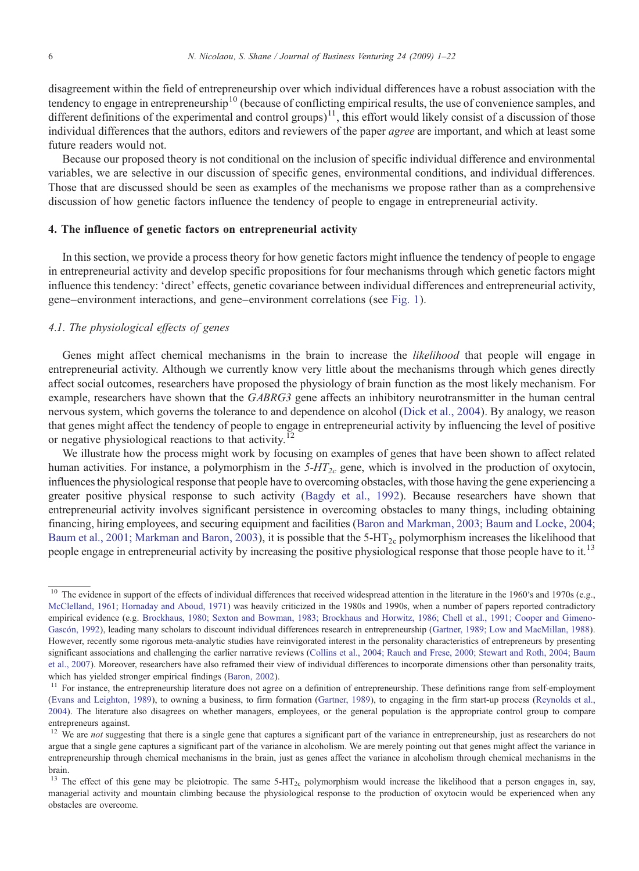disagreement within the field of entrepreneurship over which individual differences have a robust association with the tendency to engage in entrepreneurship<sup>10</sup> (because of conflicting empirical results, the use of convenience samples, and different definitions of the experimental and control groups)<sup>11</sup>, this effort would likely consist of a discussion of those individual differences that the authors, editors and reviewers of the paper *agree* are important, and which at least some future readers would not.

Because our proposed theory is not conditional on the inclusion of specific individual difference and environmental variables, we are selective in our discussion of specific genes, environmental conditions, and individual differences. Those that are discussed should be seen as examples of the mechanisms we propose rather than as a comprehensive discussion of how genetic factors influence the tendency of people to engage in entrepreneurial activity.

#### 4. The influence of genetic factors on entrepreneurial activity

In this section, we provide a process theory for how genetic factors might influence the tendency of people to engage in entrepreneurial activity and develop specific propositions for four mechanisms through which genetic factors might influence this tendency: 'direct' effects, genetic covariance between individual differences and entrepreneurial activity, gene–environment interactions, and gene–environment correlations (see [Fig. 1](#page-1-0)).

# 4.1. The physiological effects of genes

Genes might affect chemical mechanisms in the brain to increase the *likelihood* that people will engage in entrepreneurial activity. Although we currently know very little about the mechanisms through which genes directly affect social outcomes, researchers have proposed the physiology of brain function as the most likely mechanism. For example, researchers have shown that the GABRG3 gene affects an inhibitory neurotransmitter in the human central nervous system, which governs the tolerance to and dependence on alcohol ([Dick et al., 2004](#page-18-0)). By analogy, we reason that genes might affect the tendency of people to engage in entrepreneurial activity by influencing the level of positive or negative physiological reactions to that activity.<sup>12</sup>

We illustrate how the process might work by focusing on examples of genes that have been shown to affect related human activities. For instance, a polymorphism in the  $5-HT_{2c}$  gene, which is involved in the production of oxytocin, influences the physiological response that people have to overcoming obstacles, with those having the gene experiencing a greater positive physical response to such activity [\(Bagdy et al., 1992](#page-17-0)). Because researchers have shown that entrepreneurial activity involves significant persistence in overcoming obstacles to many things, including obtaining financing, hiring employees, and securing equipment and facilities [\(Baron and Markman, 2003; Baum and Locke, 2004;](#page-17-0) [Baum et al., 2001; Markman and Baron, 2003\)](#page-17-0), it is possible that the 5-HT<sub>2c</sub> polymorphism increases the likelihood that people engage in entrepreneurial activity by increasing the positive physiological response that those people have to it.<sup>13</sup>

<sup>&</sup>lt;sup>10</sup> The evidence in support of the effects of individual differences that received widespread attention in the literature in the 1960's and 1970s (e.g., [McClelland, 1961; Hornaday and Aboud, 1971\)](#page-19-0) was heavily criticized in the 1980s and 1990s, when a number of papers reported contradictory empirical evidence (e.g. [Brockhaus, 1980; Sexton and Bowman, 1983; Brockhaus and Horwitz, 1986; Chell et al., 1991; Cooper and Gimeno-](#page-18-0)[Gascón, 1992\)](#page-18-0), leading many scholars to discount individual differences research in entrepreneurship ([Gartner, 1989; Low and MacMillan, 1988\)](#page-19-0). However, recently some rigorous meta-analytic studies have reinvigorated interest in the personality characteristics of entrepreneurs by presenting significant associations and challenging the earlier narrative reviews [\(Collins et al., 2004; Rauch and Frese, 2000; Stewart and Roth, 2004; Baum](#page-18-0) [et al., 2007\)](#page-18-0). Moreover, researchers have also reframed their view of individual differences to incorporate dimensions other than personality traits, which has yielded stronger empirical findings ([Baron, 2002\)](#page-17-0).<br><sup>11</sup> For instance, the entrepreneurship literature does not agree on a definition of entrepreneurship. These definitions range from self-employment

<sup>(</sup>[Evans and Leighton, 1989](#page-18-0)), to owning a business, to firm formation [\(Gartner, 1989\)](#page-19-0), to engaging in the firm start-up process ([Reynolds et al.,](#page-20-0) [2004](#page-20-0)). The literature also disagrees on whether managers, employees, or the general population is the appropriate control group to compare entrepreneurs against.

<sup>&</sup>lt;sup>12</sup> We are *not* suggesting that there is a single gene that captures a significant part of the variance in entrepreneurship, just as researchers do not argue that a single gene captures a significant part of the variance in alcoholism. We are merely pointing out that genes might affect the variance in entrepreneurship through chemical mechanisms in the brain, just as genes affect the variance in alcoholism through chemical mechanisms in the brain.

<sup>&</sup>lt;sup>13</sup> The effect of this gene may be pleiotropic. The same 5-HT<sub>2c</sub> polymorphism would increase the likelihood that a person engages in, say, managerial activity and mountain climbing because the physiological response to the production of oxytocin would be experienced when any obstacles are overcome.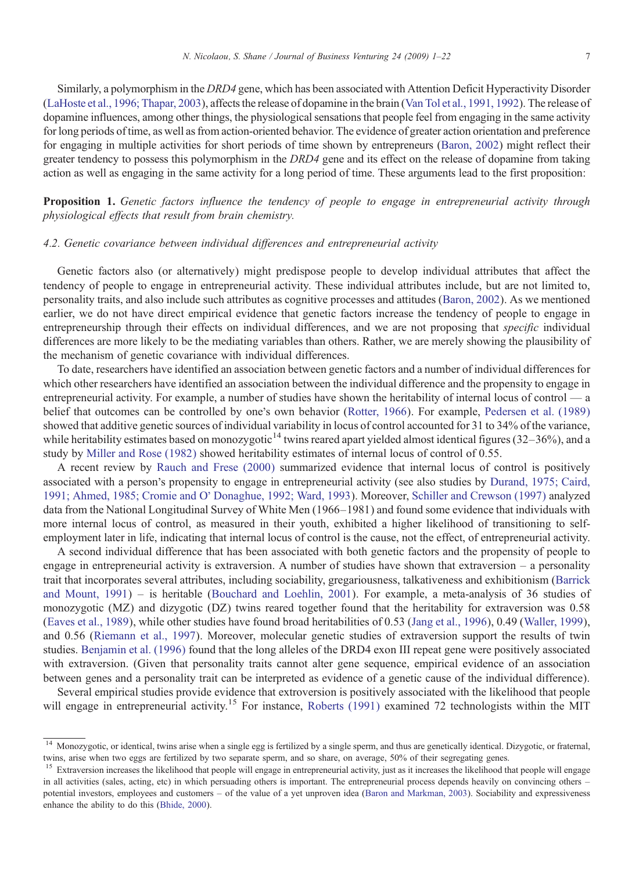Similarly, a polymorphism in the DRD4 gene, which has been associated with Attention Deficit Hyperactivity Disorder [\(LaHoste et al., 1996; Thapar, 2003](#page-19-0)), affects the release of dopamine in the brain [\(Van Tol et al., 1991, 1992](#page-21-0)). The release of dopamine influences, among other things, the physiological sensations that people feel from engaging in the same activity for long periods of time, as well as from action-oriented behavior. The evidence of greater action orientation and preference for engaging in multiple activities for short periods of time shown by entrepreneurs [\(Baron, 2002](#page-17-0)) might reflect their greater tendency to possess this polymorphism in the DRD4 gene and its effect on the release of dopamine from taking action as well as engaging in the same activity for a long period of time. These arguments lead to the first proposition:

Proposition 1. Genetic factors influence the tendency of people to engage in entrepreneurial activity through physiological effects that result from brain chemistry.

# 4.2. Genetic covariance between individual differences and entrepreneurial activity

Genetic factors also (or alternatively) might predispose people to develop individual attributes that affect the tendency of people to engage in entrepreneurial activity. These individual attributes include, but are not limited to, personality traits, and also include such attributes as cognitive processes and attitudes [\(Baron, 2002](#page-17-0)). As we mentioned earlier, we do not have direct empirical evidence that genetic factors increase the tendency of people to engage in entrepreneurship through their effects on individual differences, and we are not proposing that *specific* individual differences are more likely to be the mediating variables than others. Rather, we are merely showing the plausibility of the mechanism of genetic covariance with individual differences.

To date, researchers have identified an association between genetic factors and a number of individual differences for which other researchers have identified an association between the individual difference and the propensity to engage in entrepreneurial activity. For example, a number of studies have shown the heritability of internal locus of control  $-a$ belief that outcomes can be controlled by one's own behavior [\(Rotter, 1966\)](#page-20-0). For example, [Pedersen et al. \(1989\)](#page-19-0) showed that additive genetic sources of individual variability in locus of control accounted for 31 to 34% of the variance, while heritability estimates based on monozygotic<sup>14</sup> twins reared apart yielded almost identical figures  $(32-36%)$ , and a study by [Miller and Rose \(1982\)](#page-19-0) showed heritability estimates of internal locus of control of 0.55.

A recent review by [Rauch and Frese \(2000\)](#page-20-0) summarized evidence that internal locus of control is positively associated with a person's propensity to engage in entrepreneurial activity (see also studies by [Durand, 1975; Caird,](#page-18-0) [1991; Ahmed, 1985; Cromie and O' Donaghue, 1992; Ward, 1993\)](#page-18-0). Moreover, [Schiller and Crewson \(1997\)](#page-20-0) analyzed data from the National Longitudinal Survey of White Men (1966–1981) and found some evidence that individuals with more internal locus of control, as measured in their youth, exhibited a higher likelihood of transitioning to selfemployment later in life, indicating that internal locus of control is the cause, not the effect, of entrepreneurial activity.

A second individual difference that has been associated with both genetic factors and the propensity of people to engage in entrepreneurial activity is extraversion. A number of studies have shown that extraversion – a personality trait that incorporates several attributes, including sociability, gregariousness, talkativeness and exhibitionism ([Barrick](#page-17-0) [and Mount, 1991\)](#page-17-0) – is heritable [\(Bouchard and Loehlin, 2001\)](#page-18-0). For example, a meta-analysis of 36 studies of monozygotic (MZ) and dizygotic (DZ) twins reared together found that the heritability for extraversion was 0.58 [\(Eaves et al., 1989\)](#page-18-0), while other studies have found broad heritabilities of 0.53 ([Jang et al., 1996\)](#page-19-0), 0.49 ([Waller, 1999\)](#page-21-0), and 0.56 [\(Riemann et al., 1997\)](#page-20-0). Moreover, molecular genetic studies of extraversion support the results of twin studies. [Benjamin et al. \(1996\)](#page-17-0) found that the long alleles of the DRD4 exon III repeat gene were positively associated with extraversion. (Given that personality traits cannot alter gene sequence, empirical evidence of an association between genes and a personality trait can be interpreted as evidence of a genetic cause of the individual difference).

Several empirical studies provide evidence that extroversion is positively associated with the likelihood that people will engage in entrepreneurial activity.<sup>15</sup> For instance, [Roberts \(1991\)](#page-20-0) examined 72 technologists within the MIT

<sup>&</sup>lt;sup>14</sup> Monozygotic, or identical, twins arise when a single egg is fertilized by a single sperm, and thus are genetically identical. Dizygotic, or fraternal, twins, arise when two eggs are fertilized by two separate sperm, and so share, on average, 50% of their segregating genes.

<sup>&</sup>lt;sup>15</sup> Extraversion increases the likelihood that people will engage in entrepreneurial activity, just as it increases the likelihood that people will engage in all activities (sales, acting, etc) in which persuading others is important. The entrepreneurial process depends heavily on convincing others – potential investors, employees and customers – of the value of a yet unproven idea [\(Baron and Markman, 2003](#page-17-0)). Sociability and expressiveness enhance the ability to do this [\(Bhide, 2000\)](#page-17-0).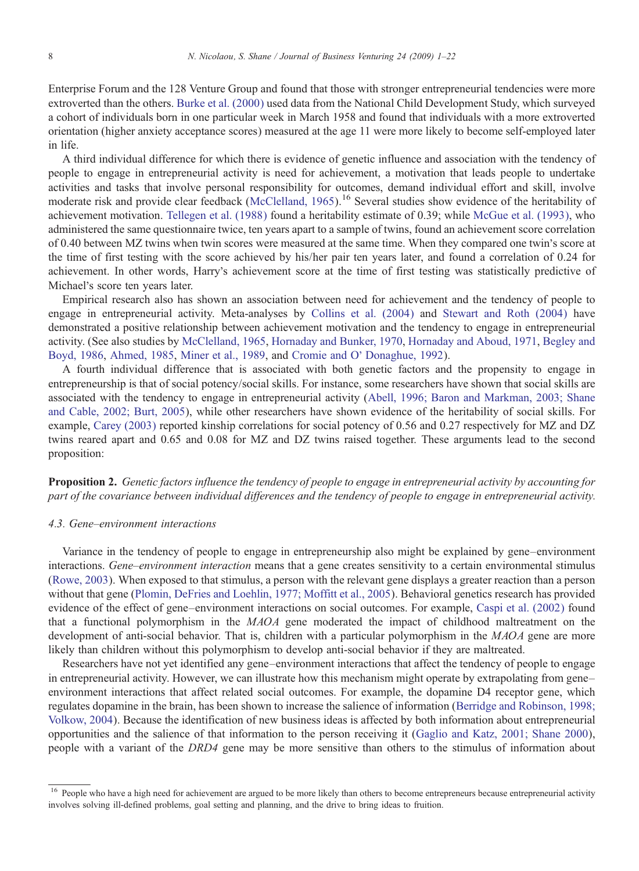Enterprise Forum and the 128 Venture Group and found that those with stronger entrepreneurial tendencies were more extroverted than the others. [Burke et al. \(2000\)](#page-18-0) used data from the National Child Development Study, which surveyed a cohort of individuals born in one particular week in March 1958 and found that individuals with a more extroverted orientation (higher anxiety acceptance scores) measured at the age 11 were more likely to become self-employed later in life.

A third individual difference for which there is evidence of genetic influence and association with the tendency of people to engage in entrepreneurial activity is need for achievement, a motivation that leads people to undertake activities and tasks that involve personal responsibility for outcomes, demand individual effort and skill, involve moderate risk and provide clear feedback ([McClelland, 1965](#page-19-0)).<sup>16</sup> Several studies show evidence of the heritability of achievement motivation. [Tellegen et al. \(1988\)](#page-20-0) found a heritability estimate of 0.39; while [McGue et al. \(1993\)](#page-19-0), who administered the same questionnaire twice, ten years apart to a sample of twins, found an achievement score correlation of 0.40 between MZ twins when twin scores were measured at the same time. When they compared one twin's score at the time of first testing with the score achieved by his/her pair ten years later, and found a correlation of 0.24 for achievement. In other words, Harry's achievement score at the time of first testing was statistically predictive of Michael's score ten years later.

Empirical research also has shown an association between need for achievement and the tendency of people to engage in entrepreneurial activity. Meta-analyses by [Collins et al. \(2004\)](#page-18-0) and [Stewart and Roth \(2004\)](#page-20-0) have demonstrated a positive relationship between achievement motivation and the tendency to engage in entrepreneurial activity. (See also studies by [McClelland, 1965,](#page-19-0) [Hornaday and Bunker, 1970](#page-19-0), [Hornaday and Aboud, 1971,](#page-19-0) [Begley and](#page-17-0) [Boyd, 1986](#page-17-0), [Ahmed, 1985](#page-17-0), [Miner et al., 1989](#page-19-0), and [Cromie and O' Donaghue, 1992\)](#page-18-0).

A fourth individual difference that is associated with both genetic factors and the propensity to engage in entrepreneurship is that of social potency/social skills. For instance, some researchers have shown that social skills are associated with the tendency to engage in entrepreneurial activity ([Abell, 1996; Baron and Markman, 2003; Shane](#page-17-0) [and Cable, 2002; Burt, 2005\)](#page-17-0), while other researchers have shown evidence of the heritability of social skills. For example, [Carey \(2003\)](#page-18-0) reported kinship correlations for social potency of 0.56 and 0.27 respectively for MZ and DZ twins reared apart and 0.65 and 0.08 for MZ and DZ twins raised together. These arguments lead to the second proposition:

Proposition 2. Genetic factors influence the tendency of people to engage in entrepreneurial activity by accounting for part of the covariance between individual differences and the tendency of people to engage in entrepreneurial activity.

# 4.3. Gene–environment interactions

Variance in the tendency of people to engage in entrepreneurship also might be explained by gene–environment interactions. Gene–environment interaction means that a gene creates sensitivity to a certain environmental stimulus ([Rowe, 2003](#page-20-0)). When exposed to that stimulus, a person with the relevant gene displays a greater reaction than a person without that gene [\(Plomin, DeFries and Loehlin, 1977; Moffitt et al., 2005](#page-20-0)). Behavioral genetics research has provided evidence of the effect of gene–environment interactions on social outcomes. For example, [Caspi et al. \(2002\)](#page-18-0) found that a functional polymorphism in the MAOA gene moderated the impact of childhood maltreatment on the development of anti-social behavior. That is, children with a particular polymorphism in the MAOA gene are more likely than children without this polymorphism to develop anti-social behavior if they are maltreated.

Researchers have not yet identified any gene–environment interactions that affect the tendency of people to engage in entrepreneurial activity. However, we can illustrate how this mechanism might operate by extrapolating from gene– environment interactions that affect related social outcomes. For example, the dopamine D4 receptor gene, which regulates dopamine in the brain, has been shown to increase the salience of information ([Berridge and Robinson, 1998;](#page-17-0) [Volkow, 2004](#page-17-0)). Because the identification of new business ideas is affected by both information about entrepreneurial opportunities and the salience of that information to the person receiving it ([Gaglio and Katz, 2001; Shane 2000](#page-18-0)), people with a variant of the DRD4 gene may be more sensitive than others to the stimulus of information about

<sup>&</sup>lt;sup>16</sup> People who have a high need for achievement are argued to be more likely than others to become entrepreneurs because entrepreneurial activity involves solving ill-defined problems, goal setting and planning, and the drive to bring ideas to fruition.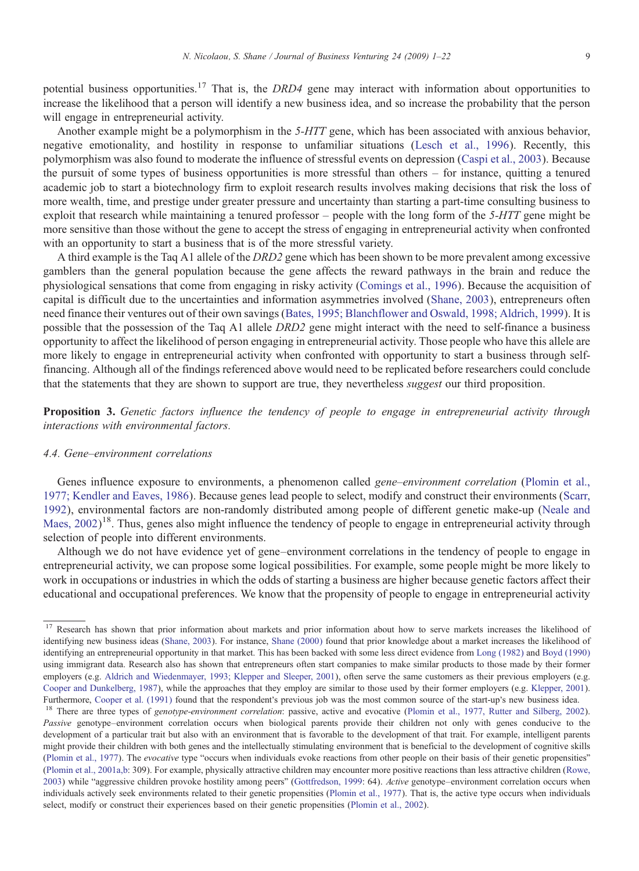potential business opportunities.<sup>17</sup> That is, the *DRD4* gene may interact with information about opportunities to increase the likelihood that a person will identify a new business idea, and so increase the probability that the person will engage in entrepreneurial activity.

Another example might be a polymorphism in the 5-HTT gene, which has been associated with anxious behavior, negative emotionality, and hostility in response to unfamiliar situations ([Lesch et al., 1996\)](#page-19-0). Recently, this polymorphism was also found to moderate the influence of stressful events on depression [\(Caspi et al., 2003\)](#page-18-0). Because the pursuit of some types of business opportunities is more stressful than others – for instance, quitting a tenured academic job to start a biotechnology firm to exploit research results involves making decisions that risk the loss of more wealth, time, and prestige under greater pressure and uncertainty than starting a part-time consulting business to exploit that research while maintaining a tenured professor – people with the long form of the 5-HTT gene might be more sensitive than those without the gene to accept the stress of engaging in entrepreneurial activity when confronted with an opportunity to start a business that is of the more stressful variety.

A third example is the Taq A1 allele of the DRD2 gene which has been shown to be more prevalent among excessive gamblers than the general population because the gene affects the reward pathways in the brain and reduce the physiological sensations that come from engaging in risky activity ([Comings et al., 1996\)](#page-18-0). Because the acquisition of capital is difficult due to the uncertainties and information asymmetries involved [\(Shane, 2003](#page-20-0)), entrepreneurs often need finance their ventures out of their own savings [\(Bates, 1995; Blanchflower and Oswald, 1998; Aldrich, 1999](#page-17-0)). It is possible that the possession of the Taq A1 allele DRD2 gene might interact with the need to self-finance a business opportunity to affect the likelihood of person engaging in entrepreneurial activity. Those people who have this allele are more likely to engage in entrepreneurial activity when confronted with opportunity to start a business through selffinancing. Although all of the findings referenced above would need to be replicated before researchers could conclude that the statements that they are shown to support are true, they nevertheless *suggest* our third proposition.

Proposition 3. Genetic factors influence the tendency of people to engage in entrepreneurial activity through interactions with environmental factors.

## 4.4. Gene–environment correlations

Genes influence exposure to environments, a phenomenon called *gene–environment correlation* ([Plomin et al.,](#page-20-0) [1977; Kendler and Eaves, 1986](#page-20-0)). Because genes lead people to select, modify and construct their environments [\(Scarr,](#page-20-0) [1992\)](#page-20-0), environmental factors are non-randomly distributed among people of different genetic make-up [\(Neale and](#page-19-0) [Maes, 2002](#page-19-0))<sup>18</sup>. Thus, genes also might influence the tendency of people to engage in entrepreneurial activity through selection of people into different environments.

Although we do not have evidence yet of gene–environment correlations in the tendency of people to engage in entrepreneurial activity, we can propose some logical possibilities. For example, some people might be more likely to work in occupations or industries in which the odds of starting a business are higher because genetic factors affect their educational and occupational preferences. We know that the propensity of people to engage in entrepreneurial activity

<sup>&</sup>lt;sup>17</sup> Research has shown that prior information about markets and prior information about how to serve markets increases the likelihood of identifying new business ideas [\(Shane, 2003](#page-20-0)). For instance, [Shane \(2000\)](#page-20-0) found that prior knowledge about a market increases the likelihood of identifying an entrepreneurial opportunity in that market. This has been backed with some less direct evidence from [Long \(1982\)](#page-19-0) and [Boyd \(1990\)](#page-18-0) using immigrant data. Research also has shown that entrepreneurs often start companies to make similar products to those made by their former employers (e.g. [Aldrich and Wiedenmayer, 1993; Klepper and Sleeper, 2001\)](#page-17-0), often serve the same customers as their previous employers (e.g. [Cooper and Dunkelberg, 1987](#page-18-0)), while the approaches that they employ are similar to those used by their former employers (e.g. [Klepper, 2001](#page-19-0)). Furthermore, [Cooper et al. \(1991\)](#page-18-0) found that the respondent's previous job was the most common source of the start-up's new business idea.<br><sup>18</sup> There are three types of *genotype-environment correlation*: passive, active a

Passive genotype–environment correlation occurs when biological parents provide their children not only with genes conducive to the development of a particular trait but also with an environment that is favorable to the development of that trait. For example, intelligent parents might provide their children with both genes and the intellectually stimulating environment that is beneficial to the development of cognitive skills ([Plomin et al., 1977\)](#page-20-0). The *evocative* type "occurs when individuals evoke reactions from other people on their basis of their genetic propensities" ([Plomin et al., 2001a,b:](#page-20-0) 309). For example, physically attractive children may encounter more positive reactions than less attractive children ([Rowe,](#page-20-0) [2003\)](#page-20-0) while "aggressive children provoke hostility among peers" ([Gottfredson, 1999:](#page-19-0) 64). Active genotype–environment correlation occurs when individuals actively seek environments related to their genetic propensities ([Plomin et al., 1977](#page-20-0)). That is, the active type occurs when individuals select, modify or construct their experiences based on their genetic propensities ([Plomin et al., 2002\)](#page-20-0).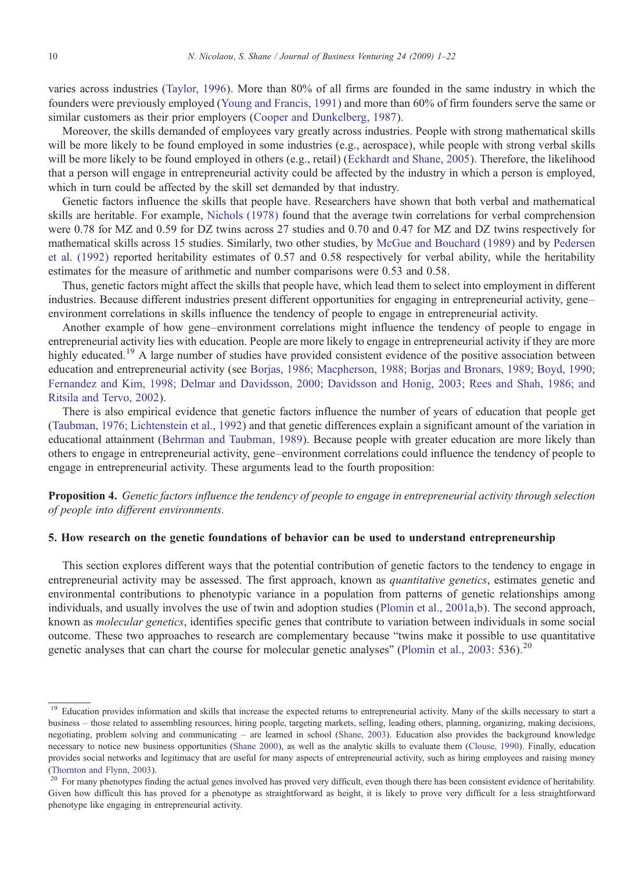varies across industries ([Taylor, 1996\)](#page-20-0). More than 80% of all firms are founded in the same industry in which the founders were previously employed ([Young and Francis, 1991](#page-21-0)) and more than 60% of firm founders serve the same or similar customers as their prior employers [\(Cooper and Dunkelberg, 1987\)](#page-18-0).

Moreover, the skills demanded of employees vary greatly across industries. People with strong mathematical skills will be more likely to be found employed in some industries (e.g., aerospace), while people with strong verbal skills will be more likely to be found employed in others (e.g., retail) [\(Eckhardt and Shane, 2005](#page-18-0)). Therefore, the likelihood that a person will engage in entrepreneurial activity could be affected by the industry in which a person is employed, which in turn could be affected by the skill set demanded by that industry.

Genetic factors influence the skills that people have. Researchers have shown that both verbal and mathematical skills are heritable. For example, [Nichols \(1978\)](#page-19-0) found that the average twin correlations for verbal comprehension were 0.78 for MZ and 0.59 for DZ twins across 27 studies and 0.70 and 0.47 for MZ and DZ twins respectively for mathematical skills across 15 studies. Similarly, two other studies, by [McGue and Bouchard \(1989\)](#page-19-0) and by [Pedersen](#page-19-0) [et al. \(1992\)](#page-19-0) reported heritability estimates of 0.57 and 0.58 respectively for verbal ability, while the heritability estimates for the measure of arithmetic and number comparisons were 0.53 and 0.58.

Thus, genetic factors might affect the skills that people have, which lead them to select into employment in different industries. Because different industries present different opportunities for engaging in entrepreneurial activity, gene– environment correlations in skills influence the tendency of people to engage in entrepreneurial activity.

Another example of how gene–environment correlations might influence the tendency of people to engage in entrepreneurial activity lies with education. People are more likely to engage in entrepreneurial activity if they are more highly educated.<sup>19</sup> A large number of studies have provided consistent evidence of the positive association between education and entrepreneurial activity (see [Borjas, 1986; Macpherson, 1988; Borjas and Bronars, 1989; Boyd, 1990;](#page-18-0) [Fernandez and Kim, 1998; Delmar and Davidsson, 2000; Davidsson and Honig, 2003; Rees and Shah, 1986; and](#page-18-0) [Ritsila and Tervo, 2002\)](#page-18-0).

There is also empirical evidence that genetic factors influence the number of years of education that people get ([Taubman, 1976; Lichtenstein et al., 1992](#page-20-0)) and that genetic differences explain a significant amount of the variation in educational attainment [\(Behrman and Taubman, 1989\)](#page-17-0). Because people with greater education are more likely than others to engage in entrepreneurial activity, gene–environment correlations could influence the tendency of people to engage in entrepreneurial activity. These arguments lead to the fourth proposition:

Proposition 4. Genetic factors influence the tendency of people to engage in entrepreneurial activity through selection of people into different environments.

# 5. How research on the genetic foundations of behavior can be used to understand entrepreneurship

This section explores different ways that the potential contribution of genetic factors to the tendency to engage in entrepreneurial activity may be assessed. The first approach, known as *quantitative genetics*, estimates genetic and environmental contributions to phenotypic variance in a population from patterns of genetic relationships among individuals, and usually involves the use of twin and adoption studies [\(Plomin et al., 2001a,b\)](#page-20-0). The second approach, known as molecular genetics, identifies specific genes that contribute to variation between individuals in some social outcome. These two approaches to research are complementary because "twins make it possible to use quantitative genetic analyses that can chart the course for molecular genetic analyses" [\(Plomin et al., 2003:](#page-20-0) 536).<sup>20</sup>

<sup>&</sup>lt;sup>19</sup> Education provides information and skills that increase the expected returns to entrepreneurial activity. Many of the skills necessary to start a business – those related to assembling resources, hiring people, targeting markets, selling, leading others, planning, organizing, making decisions, negotiating, problem solving and communicating – are learned in school ([Shane, 2003](#page-20-0)). Education also provides the background knowledge necessary to notice new business opportunities ([Shane 2000\)](#page-20-0), as well as the analytic skills to evaluate them ([Clouse, 1990](#page-18-0)). Finally, education provides social networks and legitimacy that are useful for many aspects of entrepreneurial activity, such as hiring employees and raising money ([Thornton and Flynn, 2003](#page-21-0)).<br><sup>20</sup> For many phenotypes finding the actual genes involved has proved very difficult, even though there has been consistent evidence of heritability.

Given how difficult this has proved for a phenotype as straightforward as height, it is likely to prove very difficult for a less straightforward phenotype like engaging in entrepreneurial activity.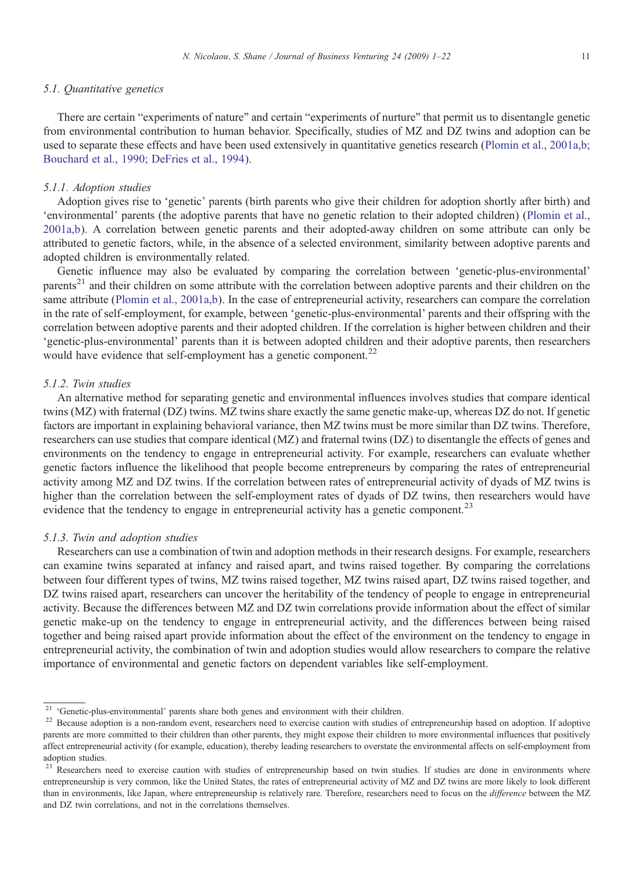#### 5.1. Quantitative genetics

There are certain "experiments of nature" and certain "experiments of nurture" that permit us to disentangle genetic from environmental contribution to human behavior. Specifically, studies of MZ and DZ twins and adoption can be used to separate these effects and have been used extensively in quantitative genetics research [\(Plomin et al., 2001a,b;](#page-20-0) [Bouchard et al., 1990; DeFries et al., 1994](#page-20-0)).

#### 5.1.1. Adoption studies

Adoption gives rise to 'genetic' parents (birth parents who give their children for adoption shortly after birth) and 'environmental' parents (the adoptive parents that have no genetic relation to their adopted children) [\(Plomin et al.,](#page-20-0) [2001a,b\)](#page-20-0). A correlation between genetic parents and their adopted-away children on some attribute can only be attributed to genetic factors, while, in the absence of a selected environment, similarity between adoptive parents and adopted children is environmentally related.

Genetic influence may also be evaluated by comparing the correlation between 'genetic-plus-environmental' parents<sup>21</sup> and their children on some attribute with the correlation between adoptive parents and their children on the same attribute [\(Plomin et al., 2001a,b\)](#page-20-0). In the case of entrepreneurial activity, researchers can compare the correlation in the rate of self-employment, for example, between 'genetic-plus-environmental' parents and their offspring with the correlation between adoptive parents and their adopted children. If the correlation is higher between children and their 'genetic-plus-environmental' parents than it is between adopted children and their adoptive parents, then researchers would have evidence that self-employment has a genetic component.<sup>22</sup>

## 5.1.2. Twin studies

An alternative method for separating genetic and environmental influences involves studies that compare identical twins (MZ) with fraternal (DZ) twins. MZ twins share exactly the same genetic make-up, whereas DZ do not. If genetic factors are important in explaining behavioral variance, then MZ twins must be more similar than DZ twins. Therefore, researchers can use studies that compare identical (MZ) and fraternal twins (DZ) to disentangle the effects of genes and environments on the tendency to engage in entrepreneurial activity. For example, researchers can evaluate whether genetic factors influence the likelihood that people become entrepreneurs by comparing the rates of entrepreneurial activity among MZ and DZ twins. If the correlation between rates of entrepreneurial activity of dyads of MZ twins is higher than the correlation between the self-employment rates of dyads of DZ twins, then researchers would have evidence that the tendency to engage in entrepreneurial activity has a genetic component.<sup>23</sup>

#### 5.1.3. Twin and adoption studies

Researchers can use a combination of twin and adoption methods in their research designs. For example, researchers can examine twins separated at infancy and raised apart, and twins raised together. By comparing the correlations between four different types of twins, MZ twins raised together, MZ twins raised apart, DZ twins raised together, and DZ twins raised apart, researchers can uncover the heritability of the tendency of people to engage in entrepreneurial activity. Because the differences between MZ and DZ twin correlations provide information about the effect of similar genetic make-up on the tendency to engage in entrepreneurial activity, and the differences between being raised together and being raised apart provide information about the effect of the environment on the tendency to engage in entrepreneurial activity, the combination of twin and adoption studies would allow researchers to compare the relative importance of environmental and genetic factors on dependent variables like self-employment.

<sup>21</sup> 'Genetic-plus-environmental' parents share both genes and environment with their children.

 $22$  Because adoption is a non-random event, researchers need to exercise caution with studies of entrepreneurship based on adoption. If adoptive parents are more committed to their children than other parents, they might expose their children to more environmental influences that positively affect entrepreneurial activity (for example, education), thereby leading researchers to overstate the environmental affects on self-employment from adoption studies.

<sup>&</sup>lt;sup>23</sup> Researchers need to exercise caution with studies of entrepreneurship based on twin studies. If studies are done in environments where entrepreneurship is very common, like the United States, the rates of entrepreneurial activity of MZ and DZ twins are more likely to look different than in environments, like Japan, where entrepreneurship is relatively rare. Therefore, researchers need to focus on the *difference* between the MZ and DZ twin correlations, and not in the correlations themselves.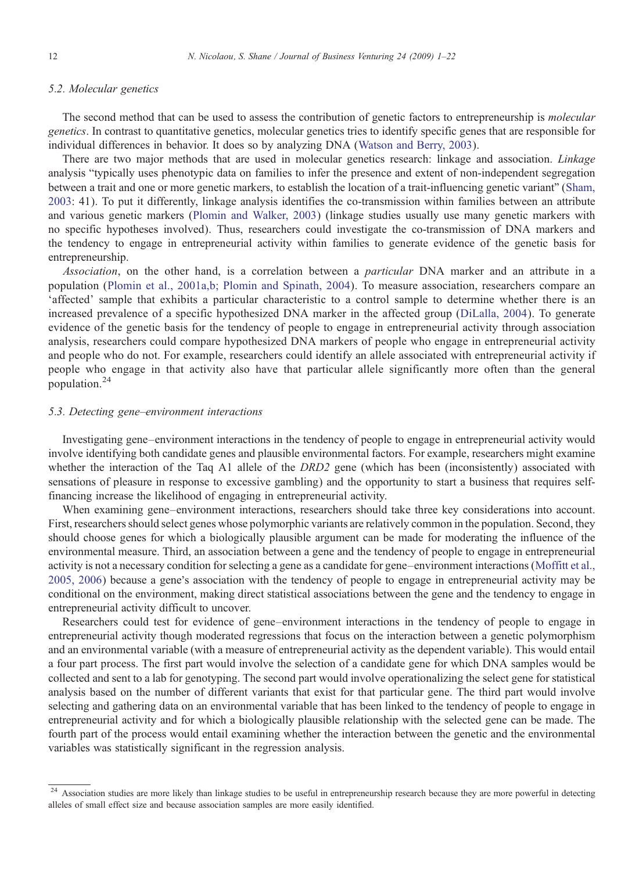The second method that can be used to assess the contribution of genetic factors to entrepreneurship is *molecular* genetics. In contrast to quantitative genetics, molecular genetics tries to identify specific genes that are responsible for individual differences in behavior. It does so by analyzing DNA [\(Watson and Berry, 2003\)](#page-21-0).

There are two major methods that are used in molecular genetics research: linkage and association. *Linkage* analysis "typically uses phenotypic data on families to infer the presence and extent of non-independent segregation between a trait and one or more genetic markers, to establish the location of a trait-influencing genetic variant" [\(Sham,](#page-20-0) [2003](#page-20-0): 41). To put it differently, linkage analysis identifies the co-transmission within families between an attribute and various genetic markers [\(Plomin and Walker, 2003\)](#page-20-0) (linkage studies usually use many genetic markers with no specific hypotheses involved). Thus, researchers could investigate the co-transmission of DNA markers and the tendency to engage in entrepreneurial activity within families to generate evidence of the genetic basis for entrepreneurship.

Association, on the other hand, is a correlation between a *particular* DNA marker and an attribute in a population ([Plomin et al., 2001a,b; Plomin and Spinath, 2004\)](#page-20-0). To measure association, researchers compare an 'affected' sample that exhibits a particular characteristic to a control sample to determine whether there is an increased prevalence of a specific hypothesized DNA marker in the affected group [\(DiLalla, 2004](#page-18-0)). To generate evidence of the genetic basis for the tendency of people to engage in entrepreneurial activity through association analysis, researchers could compare hypothesized DNA markers of people who engage in entrepreneurial activity and people who do not. For example, researchers could identify an allele associated with entrepreneurial activity if people who engage in that activity also have that particular allele significantly more often than the general population.<sup>24</sup>

#### 5.3. Detecting gene–environment interactions

Investigating gene–environment interactions in the tendency of people to engage in entrepreneurial activity would involve identifying both candidate genes and plausible environmental factors. For example, researchers might examine whether the interaction of the Taq A1 allele of the DRD2 gene (which has been (inconsistently) associated with sensations of pleasure in response to excessive gambling) and the opportunity to start a business that requires selffinancing increase the likelihood of engaging in entrepreneurial activity.

When examining gene–environment interactions, researchers should take three key considerations into account. First, researchers should select genes whose polymorphic variants are relatively common in the population. Second, they should choose genes for which a biologically plausible argument can be made for moderating the influence of the environmental measure. Third, an association between a gene and the tendency of people to engage in entrepreneurial activity is not a necessary condition for selecting a gene as a candidate for gene–environment interactions [\(Moffitt et al.,](#page-19-0) [2005, 2006\)](#page-19-0) because a gene's association with the tendency of people to engage in entrepreneurial activity may be conditional on the environment, making direct statistical associations between the gene and the tendency to engage in entrepreneurial activity difficult to uncover.

Researchers could test for evidence of gene–environment interactions in the tendency of people to engage in entrepreneurial activity though moderated regressions that focus on the interaction between a genetic polymorphism and an environmental variable (with a measure of entrepreneurial activity as the dependent variable). This would entail a four part process. The first part would involve the selection of a candidate gene for which DNA samples would be collected and sent to a lab for genotyping. The second part would involve operationalizing the select gene for statistical analysis based on the number of different variants that exist for that particular gene. The third part would involve selecting and gathering data on an environmental variable that has been linked to the tendency of people to engage in entrepreneurial activity and for which a biologically plausible relationship with the selected gene can be made. The fourth part of the process would entail examining whether the interaction between the genetic and the environmental variables was statistically significant in the regression analysis.

<sup>&</sup>lt;sup>24</sup> Association studies are more likely than linkage studies to be useful in entrepreneurship research because they are more powerful in detecting alleles of small effect size and because association samples are more easily identified.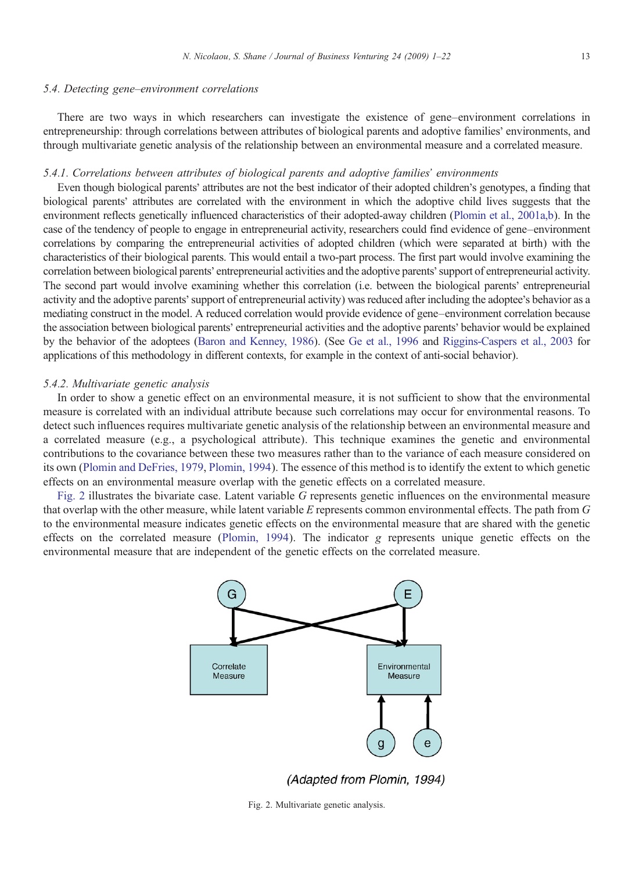#### 5.4. Detecting gene–environment correlations

There are two ways in which researchers can investigate the existence of gene–environment correlations in entrepreneurship: through correlations between attributes of biological parents and adoptive families' environments, and through multivariate genetic analysis of the relationship between an environmental measure and a correlated measure.

#### 5.4.1. Correlations between attributes of biological parents and adoptive families' environments

Even though biological parents' attributes are not the best indicator of their adopted children's genotypes, a finding that biological parents' attributes are correlated with the environment in which the adoptive child lives suggests that the environment reflects genetically influenced characteristics of their adopted-away children ([Plomin et al., 2001a,b\)](#page-20-0). In the case of the tendency of people to engage in entrepreneurial activity, researchers could find evidence of gene–environment correlations by comparing the entrepreneurial activities of adopted children (which were separated at birth) with the characteristics of their biological parents. This would entail a two-part process. The first part would involve examining the correlation between biological parents' entrepreneurial activities and the adoptive parents' support of entrepreneurial activity. The second part would involve examining whether this correlation (i.e. between the biological parents' entrepreneurial activity and the adoptive parents' support of entrepreneurial activity) was reduced after including the adoptee's behavior as a mediating construct in the model. A reduced correlation would provide evidence of gene–environment correlation because the association between biological parents' entrepreneurial activities and the adoptive parents' behavior would be explained by the behavior of the adoptees ([Baron and Kenney, 1986](#page-17-0)). (See [Ge et al., 1996](#page-19-0) and [Riggins-Caspers et al., 2003](#page-20-0) for applications of this methodology in different contexts, for example in the context of anti-social behavior).

### 5.4.2. Multivariate genetic analysis

In order to show a genetic effect on an environmental measure, it is not sufficient to show that the environmental measure is correlated with an individual attribute because such correlations may occur for environmental reasons. To detect such influences requires multivariate genetic analysis of the relationship between an environmental measure and a correlated measure (e.g., a psychological attribute). This technique examines the genetic and environmental contributions to the covariance between these two measures rather than to the variance of each measure considered on its own ([Plomin and DeFries, 1979](#page-20-0), [Plomin, 1994](#page-20-0)). The essence of this method is to identify the extent to which genetic effects on an environmental measure overlap with the genetic effects on a correlated measure.

Fig. 2 illustrates the bivariate case. Latent variable  $G$  represents genetic influences on the environmental measure that overlap with the other measure, while latent variable E represents common environmental effects. The path from G to the environmental measure indicates genetic effects on the environmental measure that are shared with the genetic effects on the correlated measure [\(Plomin, 1994](#page-20-0)). The indicator  $g$  represents unique genetic effects on the environmental measure that are independent of the genetic effects on the correlated measure.



(Adapted from Plomin, 1994)

Fig. 2. Multivariate genetic analysis.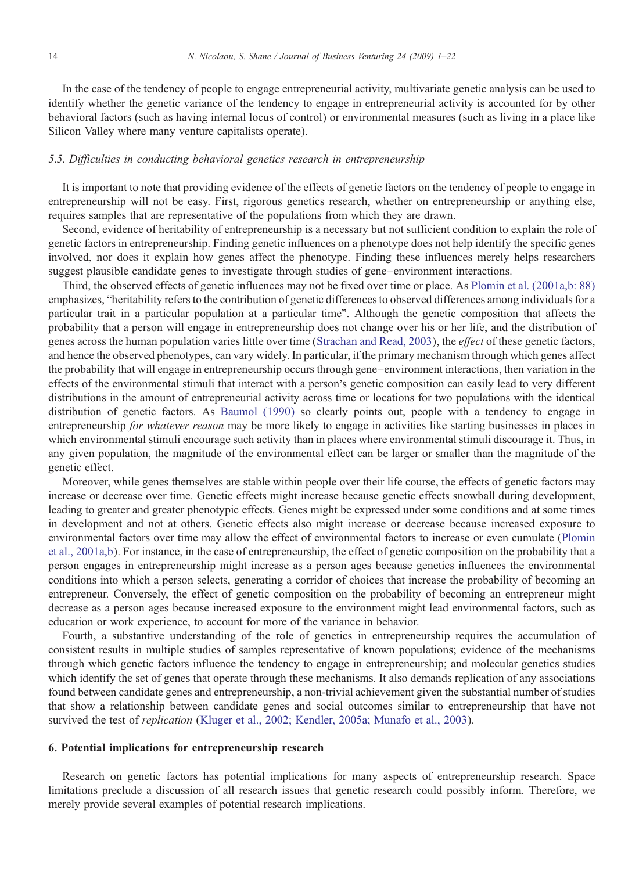In the case of the tendency of people to engage entrepreneurial activity, multivariate genetic analysis can be used to identify whether the genetic variance of the tendency to engage in entrepreneurial activity is accounted for by other behavioral factors (such as having internal locus of control) or environmental measures (such as living in a place like Silicon Valley where many venture capitalists operate).

### 5.5. Difficulties in conducting behavioral genetics research in entrepreneurship

It is important to note that providing evidence of the effects of genetic factors on the tendency of people to engage in entrepreneurship will not be easy. First, rigorous genetics research, whether on entrepreneurship or anything else, requires samples that are representative of the populations from which they are drawn.

Second, evidence of heritability of entrepreneurship is a necessary but not sufficient condition to explain the role of genetic factors in entrepreneurship. Finding genetic influences on a phenotype does not help identify the specific genes involved, nor does it explain how genes affect the phenotype. Finding these influences merely helps researchers suggest plausible candidate genes to investigate through studies of gene–environment interactions.

Third, the observed effects of genetic influences may not be fixed over time or place. As [Plomin et al. \(2001a,b: 88\)](#page-20-0) emphasizes, "heritability refers to the contribution of genetic differences to observed differences among individuals for a particular trait in a particular population at a particular time". Although the genetic composition that affects the probability that a person will engage in entrepreneurship does not change over his or her life, and the distribution of genes across the human population varies little over time ([Strachan and Read, 2003](#page-21-0)), the effect of these genetic factors, and hence the observed phenotypes, can vary widely. In particular, if the primary mechanism through which genes affect the probability that will engage in entrepreneurship occurs through gene–environment interactions, then variation in the effects of the environmental stimuli that interact with a person's genetic composition can easily lead to very different distributions in the amount of entrepreneurial activity across time or locations for two populations with the identical distribution of genetic factors. As [Baumol \(1990\)](#page-17-0) so clearly points out, people with a tendency to engage in entrepreneurship *for whatever reason* may be more likely to engage in activities like starting businesses in places in which environmental stimuli encourage such activity than in places where environmental stimuli discourage it. Thus, in any given population, the magnitude of the environmental effect can be larger or smaller than the magnitude of the genetic effect.

Moreover, while genes themselves are stable within people over their life course, the effects of genetic factors may increase or decrease over time. Genetic effects might increase because genetic effects snowball during development, leading to greater and greater phenotypic effects. Genes might be expressed under some conditions and at some times in development and not at others. Genetic effects also might increase or decrease because increased exposure to environmental factors over time may allow the effect of environmental factors to increase or even cumulate ([Plomin](#page-20-0) [et al., 2001a,b\)](#page-20-0). For instance, in the case of entrepreneurship, the effect of genetic composition on the probability that a person engages in entrepreneurship might increase as a person ages because genetics influences the environmental conditions into which a person selects, generating a corridor of choices that increase the probability of becoming an entrepreneur. Conversely, the effect of genetic composition on the probability of becoming an entrepreneur might decrease as a person ages because increased exposure to the environment might lead environmental factors, such as education or work experience, to account for more of the variance in behavior.

Fourth, a substantive understanding of the role of genetics in entrepreneurship requires the accumulation of consistent results in multiple studies of samples representative of known populations; evidence of the mechanisms through which genetic factors influence the tendency to engage in entrepreneurship; and molecular genetics studies which identify the set of genes that operate through these mechanisms. It also demands replication of any associations found between candidate genes and entrepreneurship, a non-trivial achievement given the substantial number of studies that show a relationship between candidate genes and social outcomes similar to entrepreneurship that have not survived the test of replication ([Kluger et al., 2002; Kendler, 2005a; Munafo et al., 2003](#page-19-0)).

#### 6. Potential implications for entrepreneurship research

Research on genetic factors has potential implications for many aspects of entrepreneurship research. Space limitations preclude a discussion of all research issues that genetic research could possibly inform. Therefore, we merely provide several examples of potential research implications.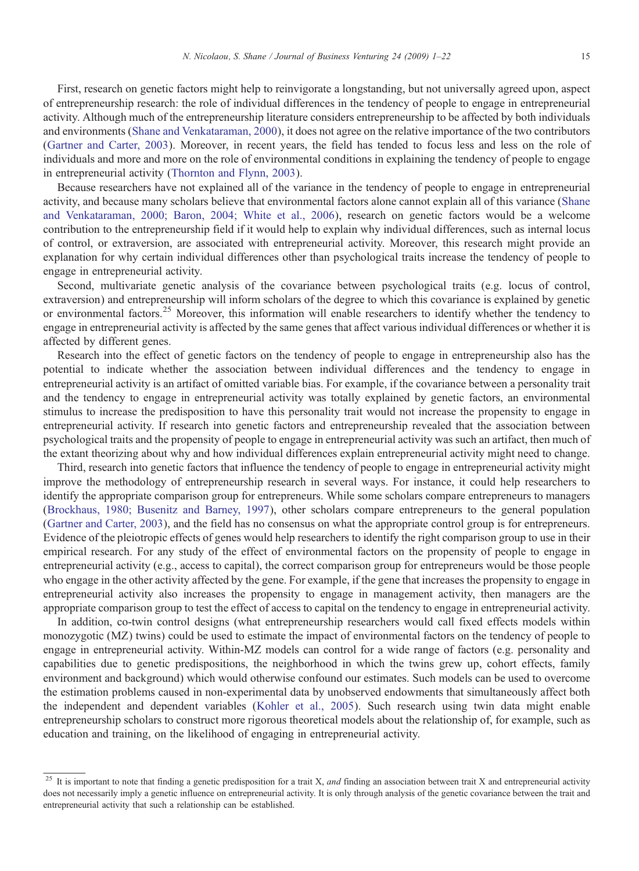First, research on genetic factors might help to reinvigorate a longstanding, but not universally agreed upon, aspect of entrepreneurship research: the role of individual differences in the tendency of people to engage in entrepreneurial activity. Although much of the entrepreneurship literature considers entrepreneurship to be affected by both individuals and environments ([Shane and Venkataraman, 2000](#page-20-0)), it does not agree on the relative importance of the two contributors [\(Gartner and Carter, 2003\)](#page-19-0). Moreover, in recent years, the field has tended to focus less and less on the role of individuals and more and more on the role of environmental conditions in explaining the tendency of people to engage in entrepreneurial activity [\(Thornton and Flynn, 2003\)](#page-21-0).

Because researchers have not explained all of the variance in the tendency of people to engage in entrepreneurial activity, and because many scholars believe that environmental factors alone cannot explain all of this variance ([Shane](#page-20-0) [and Venkataraman, 2000; Baron, 2004; White et al., 2006](#page-20-0)), research on genetic factors would be a welcome contribution to the entrepreneurship field if it would help to explain why individual differences, such as internal locus of control, or extraversion, are associated with entrepreneurial activity. Moreover, this research might provide an explanation for why certain individual differences other than psychological traits increase the tendency of people to engage in entrepreneurial activity.

Second, multivariate genetic analysis of the covariance between psychological traits (e.g. locus of control, extraversion) and entrepreneurship will inform scholars of the degree to which this covariance is explained by genetic or environmental factors.<sup>25</sup> Moreover, this information will enable researchers to identify whether the tendency to engage in entrepreneurial activity is affected by the same genes that affect various individual differences or whether it is affected by different genes.

Research into the effect of genetic factors on the tendency of people to engage in entrepreneurship also has the potential to indicate whether the association between individual differences and the tendency to engage in entrepreneurial activity is an artifact of omitted variable bias. For example, if the covariance between a personality trait and the tendency to engage in entrepreneurial activity was totally explained by genetic factors, an environmental stimulus to increase the predisposition to have this personality trait would not increase the propensity to engage in entrepreneurial activity. If research into genetic factors and entrepreneurship revealed that the association between psychological traits and the propensity of people to engage in entrepreneurial activity was such an artifact, then much of the extant theorizing about why and how individual differences explain entrepreneurial activity might need to change.

Third, research into genetic factors that influence the tendency of people to engage in entrepreneurial activity might improve the methodology of entrepreneurship research in several ways. For instance, it could help researchers to identify the appropriate comparison group for entrepreneurs. While some scholars compare entrepreneurs to managers [\(Brockhaus, 1980; Busenitz and Barney, 1997\)](#page-18-0), other scholars compare entrepreneurs to the general population [\(Gartner and Carter, 2003](#page-19-0)), and the field has no consensus on what the appropriate control group is for entrepreneurs. Evidence of the pleiotropic effects of genes would help researchers to identify the right comparison group to use in their empirical research. For any study of the effect of environmental factors on the propensity of people to engage in entrepreneurial activity (e.g., access to capital), the correct comparison group for entrepreneurs would be those people who engage in the other activity affected by the gene. For example, if the gene that increases the propensity to engage in entrepreneurial activity also increases the propensity to engage in management activity, then managers are the appropriate comparison group to test the effect of access to capital on the tendency to engage in entrepreneurial activity.

In addition, co-twin control designs (what entrepreneurship researchers would call fixed effects models within monozygotic (MZ) twins) could be used to estimate the impact of environmental factors on the tendency of people to engage in entrepreneurial activity. Within-MZ models can control for a wide range of factors (e.g. personality and capabilities due to genetic predispositions, the neighborhood in which the twins grew up, cohort effects, family environment and background) which would otherwise confound our estimates. Such models can be used to overcome the estimation problems caused in non-experimental data by unobserved endowments that simultaneously affect both the independent and dependent variables ([Kohler et al., 2005\)](#page-19-0). Such research using twin data might enable entrepreneurship scholars to construct more rigorous theoretical models about the relationship of, for example, such as education and training, on the likelihood of engaging in entrepreneurial activity.

<sup>&</sup>lt;sup>25</sup> It is important to note that finding a genetic predisposition for a trait X, and finding an association between trait X and entrepreneurial activity does not necessarily imply a genetic influence on entrepreneurial activity. It is only through analysis of the genetic covariance between the trait and entrepreneurial activity that such a relationship can be established.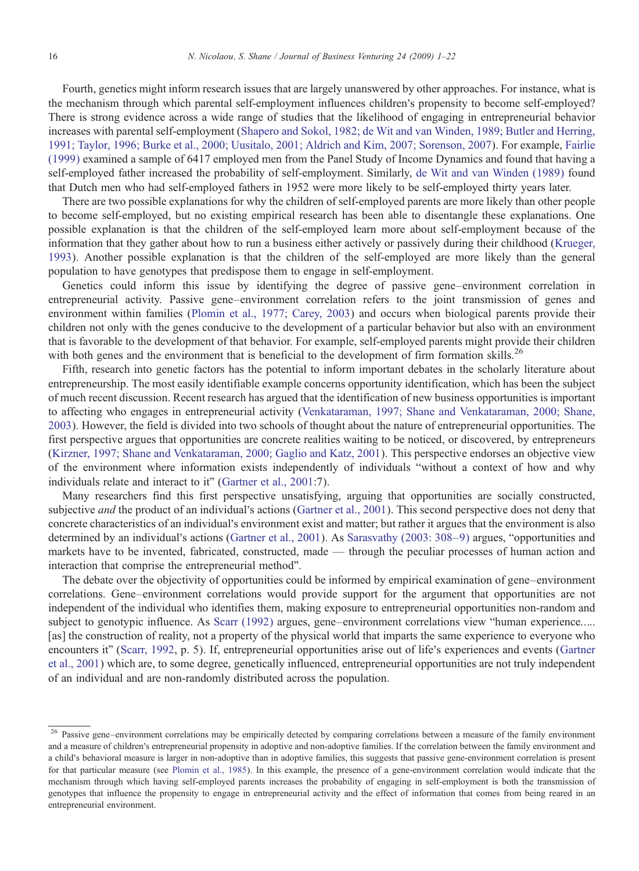Fourth, genetics might inform research issues that are largely unanswered by other approaches. For instance, what is the mechanism through which parental self-employment influences children's propensity to become self-employed? There is strong evidence across a wide range of studies that the likelihood of engaging in entrepreneurial behavior increases with parental self-employment [\(Shapero and Sokol, 1982; de Wit and van Winden, 1989; Butler and Herring,](#page-20-0) [1991; Taylor, 1996; Burke et al., 2000; Uusitalo, 2001; Aldrich and Kim, 2007; Sorenson, 2007\)](#page-20-0). For example, [Fairlie](#page-18-0) [\(1999\)](#page-18-0) examined a sample of 6417 employed men from the Panel Study of Income Dynamics and found that having a self-employed father increased the probability of self-employment. Similarly, [de Wit and van Winden \(1989\)](#page-18-0) found that Dutch men who had self-employed fathers in 1952 were more likely to be self-employed thirty years later.

There are two possible explanations for why the children of self-employed parents are more likely than other people to become self-employed, but no existing empirical research has been able to disentangle these explanations. One possible explanation is that the children of the self-employed learn more about self-employment because of the information that they gather about how to run a business either actively or passively during their childhood ([Krueger,](#page-19-0) [1993](#page-19-0)). Another possible explanation is that the children of the self-employed are more likely than the general population to have genotypes that predispose them to engage in self-employment.

Genetics could inform this issue by identifying the degree of passive gene–environment correlation in entrepreneurial activity. Passive gene–environment correlation refers to the joint transmission of genes and environment within families [\(Plomin et al., 1977; Carey, 2003\)](#page-20-0) and occurs when biological parents provide their children not only with the genes conducive to the development of a particular behavior but also with an environment that is favorable to the development of that behavior. For example, self-employed parents might provide their children with both genes and the environment that is beneficial to the development of firm formation skills.<sup>26</sup>

Fifth, research into genetic factors has the potential to inform important debates in the scholarly literature about entrepreneurship. The most easily identifiable example concerns opportunity identification, which has been the subject of much recent discussion. Recent research has argued that the identification of new business opportunities is important to affecting who engages in entrepreneurial activity ([Venkataraman, 1997; Shane and Venkataraman, 2000; Shane,](#page-21-0) [2003](#page-21-0)). However, the field is divided into two schools of thought about the nature of entrepreneurial opportunities. The first perspective argues that opportunities are concrete realities waiting to be noticed, or discovered, by entrepreneurs ([Kirzner, 1997; Shane and Venkataraman, 2000; Gaglio and Katz, 2001](#page-19-0)). This perspective endorses an objective view of the environment where information exists independently of individuals "without a context of how and why individuals relate and interact to it" [\(Gartner et al., 2001](#page-19-0):7).

Many researchers find this first perspective unsatisfying, arguing that opportunities are socially constructed, subjective and the product of an individual's actions [\(Gartner et al., 2001](#page-19-0)). This second perspective does not deny that concrete characteristics of an individual's environment exist and matter; but rather it argues that the environment is also determined by an individual's actions [\(Gartner et al., 2001](#page-19-0)). As [Sarasvathy \(2003: 308](#page-20-0)–9) argues, "opportunities and markets have to be invented, fabricated, constructed, made — through the peculiar processes of human action and interaction that comprise the entrepreneurial method".

The debate over the objectivity of opportunities could be informed by empirical examination of gene–environment correlations. Gene–environment correlations would provide support for the argument that opportunities are not independent of the individual who identifies them, making exposure to entrepreneurial opportunities non-random and subject to genotypic influence. As [Scarr \(1992\)](#page-20-0) argues, gene–environment correlations view "human experience.... [as] the construction of reality, not a property of the physical world that imparts the same experience to everyone who encounters it" ([Scarr, 1992,](#page-20-0) p. 5). If, entrepreneurial opportunities arise out of life's experiences and events [\(Gartner](#page-19-0) [et al., 2001](#page-19-0)) which are, to some degree, genetically influenced, entrepreneurial opportunities are not truly independent of an individual and are non-randomly distributed across the population.

<sup>&</sup>lt;sup>26</sup> Passive gene–environment correlations may be empirically detected by comparing correlations between a measure of the family environment and a measure of children's entrepreneurial propensity in adoptive and non-adoptive families. If the correlation between the family environment and a child's behavioral measure is larger in non-adoptive than in adoptive families, this suggests that passive gene-environment correlation is present for that particular measure (see [Plomin et al., 1985](#page-20-0)). In this example, the presence of a gene-environment correlation would indicate that the mechanism through which having self-employed parents increases the probability of engaging in self-employment is both the transmission of genotypes that influence the propensity to engage in entrepreneurial activity and the effect of information that comes from being reared in an entrepreneurial environment.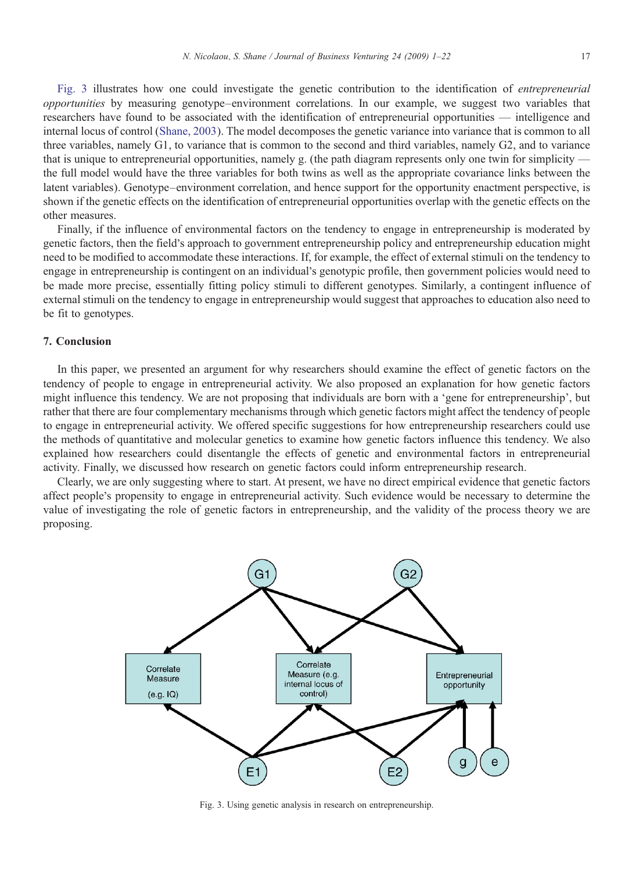Fig. 3 illustrates how one could investigate the genetic contribution to the identification of entrepreneurial opportunities by measuring genotype–environment correlations. In our example, we suggest two variables that researchers have found to be associated with the identification of entrepreneurial opportunities — intelligence and internal locus of control ([Shane, 2003\)](#page-20-0). The model decomposes the genetic variance into variance that is common to all three variables, namely G1, to variance that is common to the second and third variables, namely G2, and to variance that is unique to entrepreneurial opportunities, namely g. (the path diagram represents only one twin for simplicity  $$ the full model would have the three variables for both twins as well as the appropriate covariance links between the latent variables). Genotype–environment correlation, and hence support for the opportunity enactment perspective, is shown if the genetic effects on the identification of entrepreneurial opportunities overlap with the genetic effects on the other measures.

Finally, if the influence of environmental factors on the tendency to engage in entrepreneurship is moderated by genetic factors, then the field's approach to government entrepreneurship policy and entrepreneurship education might need to be modified to accommodate these interactions. If, for example, the effect of external stimuli on the tendency to engage in entrepreneurship is contingent on an individual's genotypic profile, then government policies would need to be made more precise, essentially fitting policy stimuli to different genotypes. Similarly, a contingent influence of external stimuli on the tendency to engage in entrepreneurship would suggest that approaches to education also need to be fit to genotypes.

# 7. Conclusion

In this paper, we presented an argument for why researchers should examine the effect of genetic factors on the tendency of people to engage in entrepreneurial activity. We also proposed an explanation for how genetic factors might influence this tendency. We are not proposing that individuals are born with a 'gene for entrepreneurship', but rather that there are four complementary mechanisms through which genetic factors might affect the tendency of people to engage in entrepreneurial activity. We offered specific suggestions for how entrepreneurship researchers could use the methods of quantitative and molecular genetics to examine how genetic factors influence this tendency. We also explained how researchers could disentangle the effects of genetic and environmental factors in entrepreneurial activity. Finally, we discussed how research on genetic factors could inform entrepreneurship research.

Clearly, we are only suggesting where to start. At present, we have no direct empirical evidence that genetic factors affect people's propensity to engage in entrepreneurial activity. Such evidence would be necessary to determine the value of investigating the role of genetic factors in entrepreneurship, and the validity of the process theory we are proposing.



Fig. 3. Using genetic analysis in research on entrepreneurship.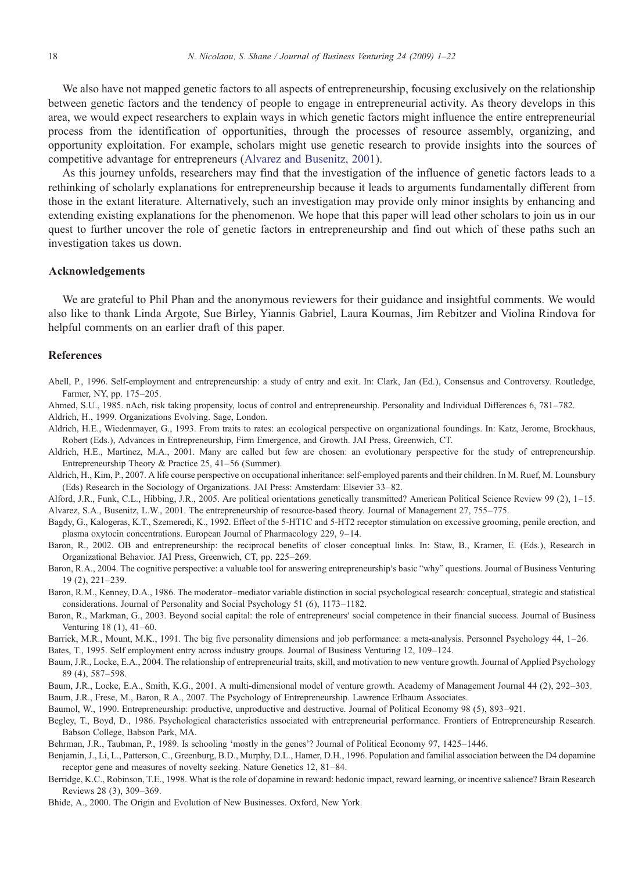<span id="page-17-0"></span>We also have not mapped genetic factors to all aspects of entrepreneurship, focusing exclusively on the relationship between genetic factors and the tendency of people to engage in entrepreneurial activity. As theory develops in this area, we would expect researchers to explain ways in which genetic factors might influence the entire entrepreneurial process from the identification of opportunities, through the processes of resource assembly, organizing, and opportunity exploitation. For example, scholars might use genetic research to provide insights into the sources of competitive advantage for entrepreneurs (Alvarez and Busenitz, 2001).

As this journey unfolds, researchers may find that the investigation of the influence of genetic factors leads to a rethinking of scholarly explanations for entrepreneurship because it leads to arguments fundamentally different from those in the extant literature. Alternatively, such an investigation may provide only minor insights by enhancing and extending existing explanations for the phenomenon. We hope that this paper will lead other scholars to join us in our quest to further uncover the role of genetic factors in entrepreneurship and find out which of these paths such an investigation takes us down.

### Acknowledgements

We are grateful to Phil Phan and the anonymous reviewers for their guidance and insightful comments. We would also like to thank Linda Argote, Sue Birley, Yiannis Gabriel, Laura Koumas, Jim Rebitzer and Violina Rindova for helpful comments on an earlier draft of this paper.

### References

- Abell, P., 1996. Self-employment and entrepreneurship: a study of entry and exit. In: Clark, Jan (Ed.), Consensus and Controversy. Routledge, Farmer, NY, pp. 175–205.
- Ahmed, S.U., 1985. nAch, risk taking propensity, locus of control and entrepreneurship. Personality and Individual Differences 6, 781–782. Aldrich, H., 1999. Organizations Evolving. Sage, London.
- Aldrich, H.E., Wiedenmayer, G., 1993. From traits to rates: an ecological perspective on organizational foundings. In: Katz, Jerome, Brockhaus, Robert (Eds.), Advances in Entrepreneurship, Firm Emergence, and Growth. JAI Press, Greenwich, CT.
- Aldrich, H.E., Martinez, M.A., 2001. Many are called but few are chosen: an evolutionary perspective for the study of entrepreneurship. Entrepreneurship Theory & Practice 25, 41–56 (Summer).
- Aldrich, H., Kim, P., 2007. A life course perspective on occupational inheritance: self-employed parents and their children. In M. Ruef, M. Lounsbury (Eds) Research in the Sociology of Organizations. JAI Press: Amsterdam: Elsevier 33–82.

Alford, J.R., Funk, C.L., Hibbing, J.R., 2005. Are political orientations genetically transmitted? American Political Science Review 99 (2), 1–15. Alvarez, S.A., Busenitz, L.W., 2001. The entrepreneurship of resource-based theory. Journal of Management 27, 755–775.

- Bagdy, G., Kalogeras, K.T., Szemeredi, K., 1992. Effect of the 5-HT1C and 5-HT2 receptor stimulation on excessive grooming, penile erection, and plasma oxytocin concentrations. European Journal of Pharmacology 229, 9–14.
- Baron, R., 2002. OB and entrepreneurship: the reciprocal benefits of closer conceptual links. In: Staw, B., Kramer, E. (Eds.), Research in Organizational Behavior. JAI Press, Greenwich, CT, pp. 225–269.
- Baron, R.A., 2004. The cognitive perspective: a valuable tool for answering entrepreneurship's basic "why" questions. Journal of Business Venturing 19 (2), 221–239.
- Baron, R.M., Kenney, D.A., 1986. The moderator–mediator variable distinction in social psychological research: conceptual, strategic and statistical considerations. Journal of Personality and Social Psychology 51 (6), 1173–1182.
- Baron, R., Markman, G., 2003. Beyond social capital: the role of entrepreneurs' social competence in their financial success. Journal of Business Venturing 18 (1), 41–60.
- Barrick, M.R., Mount, M.K., 1991. The big five personality dimensions and job performance: a meta-analysis. Personnel Psychology 44, 1–26.
- Bates, T., 1995. Self employment entry across industry groups. Journal of Business Venturing 12, 109–124.
- Baum, J.R., Locke, E.A., 2004. The relationship of entrepreneurial traits, skill, and motivation to new venture growth. Journal of Applied Psychology 89 (4), 587–598.
- Baum, J.R., Locke, E.A., Smith, K.G., 2001. A multi-dimensional model of venture growth. Academy of Management Journal 44 (2), 292–303. Baum, J.R., Frese, M., Baron, R.A., 2007. The Psychology of Entrepreneurship. Lawrence Erlbaum Associates.
- Baumol, W., 1990. Entrepreneurship: productive, unproductive and destructive. Journal of Political Economy 98 (5), 893–921.
- Begley, T., Boyd, D., 1986. Psychological characteristics associated with entrepreneurial performance. Frontiers of Entrepreneurship Research. Babson College, Babson Park, MA.
- Behrman, J.R., Taubman, P., 1989. Is schooling 'mostly in the genes'? Journal of Political Economy 97, 1425–1446.
- Benjamin, J., Li, L., Patterson, C., Greenburg, B.D., Murphy, D.L., Hamer, D.H., 1996. Population and familial association between the D4 dopamine receptor gene and measures of novelty seeking. Nature Genetics 12, 81–84.
- Berridge, K.C., Robinson, T.E., 1998. What is the role of dopamine in reward: hedonic impact, reward learning, or incentive salience? Brain Research Reviews 28 (3), 309–369.
- Bhide, A., 2000. The Origin and Evolution of New Businesses. Oxford, New York.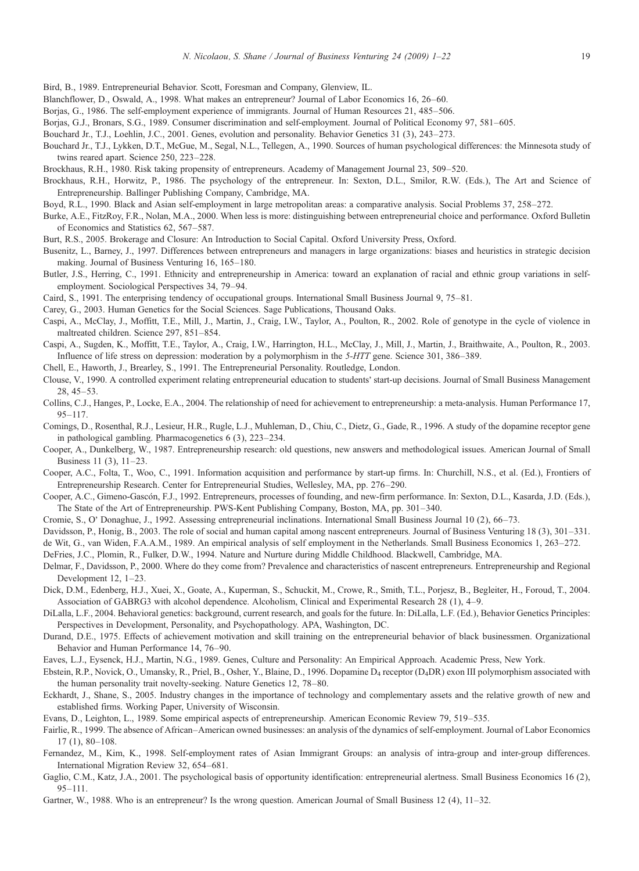<span id="page-18-0"></span>Bird, B., 1989. Entrepreneurial Behavior. Scott, Foresman and Company, Glenview, IL.

- Blanchflower, D., Oswald, A., 1998. What makes an entrepreneur? Journal of Labor Economics 16, 26–60.
- Borjas, G., 1986. The self-employment experience of immigrants. Journal of Human Resources 21, 485–506.
- Borjas, G.J., Bronars, S.G., 1989. Consumer discrimination and self-employment. Journal of Political Economy 97, 581–605.
- Bouchard Jr., T.J., Loehlin, J.C., 2001. Genes, evolution and personality. Behavior Genetics 31 (3), 243–273.
- Bouchard Jr., T.J., Lykken, D.T., McGue, M., Segal, N.L., Tellegen, A., 1990. Sources of human psychological differences: the Minnesota study of twins reared apart. Science 250, 223–228.
- Brockhaus, R.H., 1980. Risk taking propensity of entrepreneurs. Academy of Management Journal 23, 509–520.
- Brockhaus, R.H., Horwitz, P., 1986. The psychology of the entrepreneur. In: Sexton, D.L., Smilor, R.W. (Eds.), The Art and Science of Entrepreneurship. Ballinger Publishing Company, Cambridge, MA.
- Boyd, R.L., 1990. Black and Asian self-employment in large metropolitan areas: a comparative analysis. Social Problems 37, 258–272.
- Burke, A.E., FitzRoy, F.R., Nolan, M.A., 2000. When less is more: distinguishing between entrepreneurial choice and performance. Oxford Bulletin of Economics and Statistics 62, 567–587.
- Burt, R.S., 2005. Brokerage and Closure: An Introduction to Social Capital. Oxford University Press, Oxford.
- Busenitz, L., Barney, J., 1997. Differences between entrepreneurs and managers in large organizations: biases and heuristics in strategic decision making. Journal of Business Venturing 16, 165–180.
- Butler, J.S., Herring, C., 1991. Ethnicity and entrepreneurship in America: toward an explanation of racial and ethnic group variations in selfemployment. Sociological Perspectives 34, 79–94.
- Caird, S., 1991. The enterprising tendency of occupational groups. International Small Business Journal 9, 75–81.
- Carey, G., 2003. Human Genetics for the Social Sciences. Sage Publications, Thousand Oaks.
- Caspi, A., McClay, J., Moffitt, T.E., Mill, J., Martin, J., Craig, I.W., Taylor, A., Poulton, R., 2002. Role of genotype in the cycle of violence in maltreated children. Science 297, 851–854.
- Caspi, A., Sugden, K., Moffitt, T.E., Taylor, A., Craig, I.W., Harrington, H.L., McClay, J., Mill, J., Martin, J., Braithwaite, A., Poulton, R., 2003. Influence of life stress on depression: moderation by a polymorphism in the 5-HTT gene. Science 301, 386–389.
- Chell, E., Haworth, J., Brearley, S., 1991. The Entrepreneurial Personality. Routledge, London.
- Clouse, V., 1990. A controlled experiment relating entrepreneurial education to students' start-up decisions. Journal of Small Business Management 28, 45–53.
- Collins, C.J., Hanges, P., Locke, E.A., 2004. The relationship of need for achievement to entrepreneurship: a meta-analysis. Human Performance 17, 95–117.
- Comings, D., Rosenthal, R.J., Lesieur, H.R., Rugle, L.J., Muhleman, D., Chiu, C., Dietz, G., Gade, R., 1996. A study of the dopamine receptor gene in pathological gambling. Pharmacogenetics 6 (3), 223–234.
- Cooper, A., Dunkelberg, W., 1987. Entrepreneurship research: old questions, new answers and methodological issues. American Journal of Small Business 11 (3), 11–23.
- Cooper, A.C., Folta, T., Woo, C., 1991. Information acquisition and performance by start-up firms. In: Churchill, N.S., et al. (Ed.), Frontiers of Entrepreneurship Research. Center for Entrepreneurial Studies, Wellesley, MA, pp. 276–290.
- Cooper, A.C., Gimeno-Gascón, F.J., 1992. Entrepreneurs, processes of founding, and new-firm performance. In: Sexton, D.L., Kasarda, J.D. (Eds.), The State of the Art of Entrepreneurship. PWS-Kent Publishing Company, Boston, MA, pp. 301–340.
- Cromie, S., O' Donaghue, J., 1992. Assessing entrepreneurial inclinations. International Small Business Journal 10 (2), 66–73.
- Davidsson, P., Honig, B., 2003. The role of social and human capital among nascent entrepreneurs. Journal of Business Venturing 18 (3), 301–331.
- de Wit, G., van Widen, F.A.A.M., 1989. An empirical analysis of self employment in the Netherlands. Small Business Economics 1, 263–272.
- DeFries, J.C., Plomin, R., Fulker, D.W., 1994. Nature and Nurture during Middle Childhood. Blackwell, Cambridge, MA.
- Delmar, F., Davidsson, P., 2000. Where do they come from? Prevalence and characteristics of nascent entrepreneurs. Entrepreneurship and Regional Development 12, 1–23.
- Dick, D.M., Edenberg, H.J., Xuei, X., Goate, A., Kuperman, S., Schuckit, M., Crowe, R., Smith, T.L., Porjesz, B., Begleiter, H., Foroud, T., 2004. Association of GABRG3 with alcohol dependence. Alcoholism, Clinical and Experimental Research 28 (1), 4–9.
- DiLalla, L.F., 2004. Behavioral genetics: background, current research, and goals for the future. In: DiLalla, L.F. (Ed.), Behavior Genetics Principles: Perspectives in Development, Personality, and Psychopathology. APA, Washington, DC.
- Durand, D.E., 1975. Effects of achievement motivation and skill training on the entrepreneurial behavior of black businessmen. Organizational Behavior and Human Performance 14, 76–90.
- Eaves, L.J., Eysenck, H.J., Martin, N.G., 1989. Genes, Culture and Personality: An Empirical Approach. Academic Press, New York.
- Ebstein, R.P., Novick, O., Umansky, R., Priel, B., Osher, Y., Blaine, D., 1996. Dopamine D4 receptor (D4DR) exon III polymorphism associated with the human personality trait novelty-seeking. Nature Genetics 12, 78–80.
- Eckhardt, J., Shane, S., 2005. Industry changes in the importance of technology and complementary assets and the relative growth of new and established firms. Working Paper, University of Wisconsin.
- Evans, D., Leighton, L., 1989. Some empirical aspects of entrepreneurship. American Economic Review 79, 519–535.
- Fairlie, R., 1999. The absence of African–American owned businesses: an analysis of the dynamics of self-employment. Journal of Labor Economics 17 (1), 80–108.
- Fernandez, M., Kim, K., 1998. Self-employment rates of Asian Immigrant Groups: an analysis of intra-group and inter-group differences. International Migration Review 32, 654–681.
- Gaglio, C.M., Katz, J.A., 2001. The psychological basis of opportunity identification: entrepreneurial alertness. Small Business Economics 16 (2), 95–111.
- Gartner, W., 1988. Who is an entrepreneur? Is the wrong question. American Journal of Small Business 12 (4), 11–32.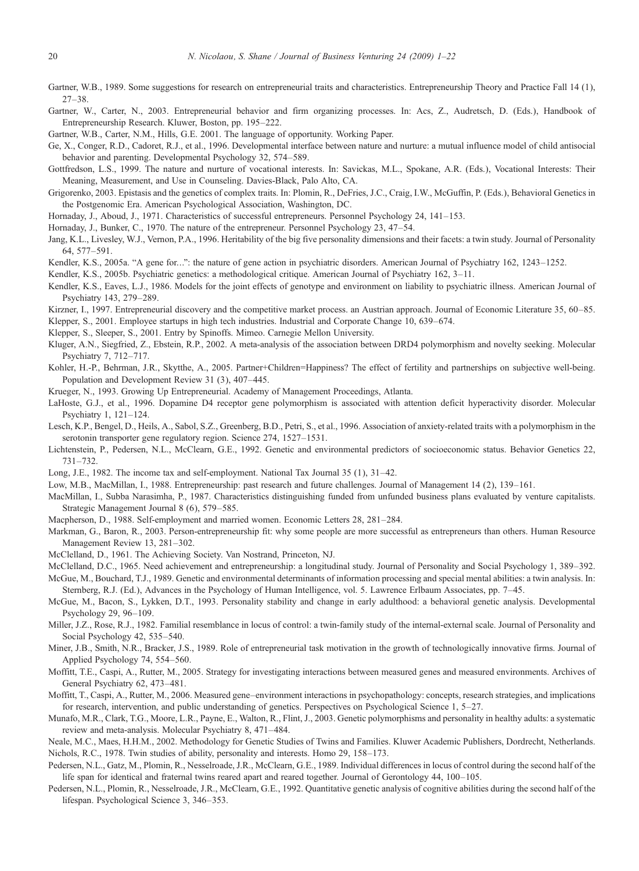- <span id="page-19-0"></span>Gartner, W.B., 1989. Some suggestions for research on entrepreneurial traits and characteristics. Entrepreneurship Theory and Practice Fall 14 (1), 27–38.
- Gartner, W., Carter, N., 2003. Entrepreneurial behavior and firm organizing processes. In: Acs, Z., Audretsch, D. (Eds.), Handbook of Entrepreneurship Research. Kluwer, Boston, pp. 195–222.
- Gartner, W.B., Carter, N.M., Hills, G.E. 2001. The language of opportunity. Working Paper.
- Ge, X., Conger, R.D., Cadoret, R.J., et al., 1996. Developmental interface between nature and nurture: a mutual influence model of child antisocial behavior and parenting. Developmental Psychology 32, 574–589.
- Gottfredson, L.S., 1999. The nature and nurture of vocational interests. In: Savickas, M.L., Spokane, A.R. (Eds.), Vocational Interests: Their Meaning, Measurement, and Use in Counseling. Davies-Black, Palo Alto, CA.
- Grigorenko, 2003. Epistasis and the genetics of complex traits. In: Plomin, R., DeFries, J.C., Craig, I.W., McGuffin, P. (Eds.), Behavioral Genetics in the Postgenomic Era. American Psychological Association, Washington, DC.
- Hornaday, J., Aboud, J., 1971. Characteristics of successful entrepreneurs. Personnel Psychology 24, 141–153.
- Hornaday, J., Bunker, C., 1970. The nature of the entrepreneur. Personnel Psychology 23, 47–54.
- Jang, K.L., Livesley, W.J., Vernon, P.A., 1996. Heritability of the big five personality dimensions and their facets: a twin study. Journal of Personality 64, 577–591.
- Kendler, K.S., 2005a. "A gene for…": the nature of gene action in psychiatric disorders. American Journal of Psychiatry 162, 1243–1252.
- Kendler, K.S., 2005b. Psychiatric genetics: a methodological critique. American Journal of Psychiatry 162, 3–11.
- Kendler, K.S., Eaves, L.J., 1986. Models for the joint effects of genotype and environment on liability to psychiatric illness. American Journal of Psychiatry 143, 279–289.
- Kirzner, I., 1997. Entrepreneurial discovery and the competitive market process. an Austrian approach. Journal of Economic Literature 35, 60–85.
- Klepper, S., 2001. Employee startups in high tech industries. Industrial and Corporate Change 10, 639–674.
- Klepper, S., Sleeper, S., 2001. Entry by Spinoffs. Mimeo. Carnegie Mellon University.
- Kluger, A.N., Siegfried, Z., Ebstein, R.P., 2002. A meta-analysis of the association between DRD4 polymorphism and novelty seeking. Molecular Psychiatry 7, 712–717.
- Kohler, H.-P., Behrman, J.R., Skytthe, A., 2005. Partner+Children=Happiness? The effect of fertility and partnerships on subjective well-being. Population and Development Review 31 (3), 407–445.
- Krueger, N., 1993. Growing Up Entrepreneurial. Academy of Management Proceedings, Atlanta.
- LaHoste, G.J., et al., 1996. Dopamine D4 receptor gene polymorphism is associated with attention deficit hyperactivity disorder. Molecular Psychiatry 1, 121–124.
- Lesch, K.P., Bengel, D., Heils, A., Sabol, S.Z., Greenberg, B.D., Petri, S., et al., 1996. Association of anxiety-related traits with a polymorphism in the serotonin transporter gene regulatory region. Science 274, 1527–1531.
- Lichtenstein, P., Pedersen, N.L., McClearn, G.E., 1992. Genetic and environmental predictors of socioeconomic status. Behavior Genetics 22, 731–732.
- Long, J.E., 1982. The income tax and self-employment. National Tax Journal 35 (1), 31–42.
- Low, M.B., MacMillan, I., 1988. Entrepreneurship: past research and future challenges. Journal of Management 14 (2), 139–161.
- MacMillan, I., Subba Narasimha, P., 1987. Characteristics distinguishing funded from unfunded business plans evaluated by venture capitalists. Strategic Management Journal 8 (6), 579–585.
- Macpherson, D., 1988. Self-employment and married women. Economic Letters 28, 281–284.
- Markman, G., Baron, R., 2003. Person-entrepreneurship fit: why some people are more successful as entrepreneurs than others. Human Resource Management Review 13, 281–302.
- McClelland, D., 1961. The Achieving Society. Van Nostrand, Princeton, NJ.
- McClelland, D.C., 1965. Need achievement and entrepreneurship: a longitudinal study. Journal of Personality and Social Psychology 1, 389–392.
- McGue, M., Bouchard, T.J., 1989. Genetic and environmental determinants of information processing and special mental abilities: a twin analysis. In: Sternberg, R.J. (Ed.), Advances in the Psychology of Human Intelligence, vol. 5. Lawrence Erlbaum Associates, pp. 7–45.
- McGue, M., Bacon, S., Lykken, D.T., 1993. Personality stability and change in early adulthood: a behavioral genetic analysis. Developmental Psychology 29, 96–109.
- Miller, J.Z., Rose, R.J., 1982. Familial resemblance in locus of control: a twin-family study of the internal-external scale. Journal of Personality and Social Psychology 42, 535–540.
- Miner, J.B., Smith, N.R., Bracker, J.S., 1989. Role of entrepreneurial task motivation in the growth of technologically innovative firms. Journal of Applied Psychology 74, 554–560.
- Moffitt, T.E., Caspi, A., Rutter, M., 2005. Strategy for investigating interactions between measured genes and measured environments. Archives of General Psychiatry 62, 473–481.
- Moffitt, T., Caspi, A., Rutter, M., 2006. Measured gene–environment interactions in psychopathology: concepts, research strategies, and implications for research, intervention, and public understanding of genetics. Perspectives on Psychological Science 1, 5–27.
- Munafo, M.R., Clark, T.G., Moore, L.R., Payne, E., Walton, R., Flint, J., 2003. Genetic polymorphisms and personality in healthy adults: a systematic review and meta-analysis. Molecular Psychiatry 8, 471–484.
- Neale, M.C., Maes, H.H.M., 2002. Methodology for Genetic Studies of Twins and Families. Kluwer Academic Publishers, Dordrecht, Netherlands. Nichols, R.C., 1978. Twin studies of ability, personality and interests. Homo 29, 158–173.
- Pedersen, N.L., Gatz, M., Plomin, R., Nesselroade, J.R., McClearn, G.E., 1989. Individual differences in locus of control during the second half of the life span for identical and fraternal twins reared apart and reared together. Journal of Gerontology 44, 100–105.
- Pedersen, N.L., Plomin, R., Nesselroade, J.R., McClearn, G.E., 1992. Quantitative genetic analysis of cognitive abilities during the second half of the lifespan. Psychological Science 3, 346–353.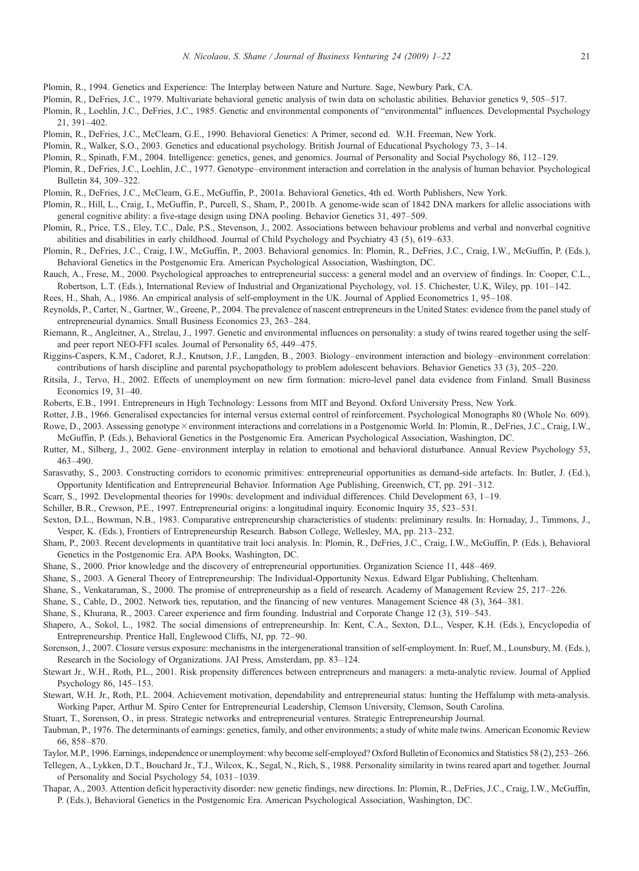- <span id="page-20-0"></span>Plomin, R., 1994. Genetics and Experience: The Interplay between Nature and Nurture. Sage, Newbury Park, CA.
- Plomin, R., DeFries, J.C., 1979. Multivariate behavioral genetic analysis of twin data on scholastic abilities. Behavior genetics 9, 505–517.
- Plomin, R., Loehlin, J.C., DeFries, J.C., 1985. Genetic and environmental components of "environmental" influences. Developmental Psychology 21, 391–402.
- Plomin, R., DeFries, J.C., McClearn, G.E., 1990. Behavioral Genetics: A Primer, second ed. W.H. Freeman, New York.
- Plomin, R., Walker, S.O., 2003. Genetics and educational psychology. British Journal of Educational Psychology 73, 3–14.
- Plomin, R., Spinath, F.M., 2004. Intelligence: genetics, genes, and genomics. Journal of Personality and Social Psychology 86, 112–129.
- Plomin, R., DeFries, J.C., Loehlin, J.C., 1977. Genotype–environment interaction and correlation in the analysis of human behavior. Psychological Bulletin 84, 309–322.
- Plomin, R., DeFries, J.C., McClearn, G.E., McGuffin, P., 2001a. Behavioral Genetics, 4th ed. Worth Publishers, New York.
- Plomin, R., Hill, L., Craig, I., McGuffin, P., Purcell, S., Sham, P., 2001b. A genome-wide scan of 1842 DNA markers for allelic associations with general cognitive ability: a five-stage design using DNA pooling. Behavior Genetics 31, 497–509.
- Plomin, R., Price, T.S., Eley, T.C., Dale, P.S., Stevenson, J., 2002. Associations between behaviour problems and verbal and nonverbal cognitive abilities and disabilities in early childhood. Journal of Child Psychology and Psychiatry 43 (5), 619–633.
- Plomin, R., DeFries, J.C., Craig, I.W., McGuffin, P., 2003. Behavioral genomics. In: Plomin, R., DeFries, J.C., Craig, I.W., McGuffin, P. (Eds.), Behavioral Genetics in the Postgenomic Era. American Psychological Association, Washington, DC.
- Rauch, A., Frese, M., 2000. Psychological approaches to entrepreneurial success: a general model and an overview of findings. In: Cooper, C.L., Robertson, L.T. (Eds.), International Review of Industrial and Organizational Psychology, vol. 15. Chichester, U.K, Wiley, pp. 101–142.
- Rees, H., Shah, A., 1986. An empirical analysis of self-employment in the UK. Journal of Applied Econometrics 1, 95–108.
- Reynolds, P., Carter, N., Gartner, W., Greene, P., 2004. The prevalence of nascent entrepreneurs in the United States: evidence from the panel study of entrepreneurial dynamics. Small Business Economics 23, 263–284.
- Riemann, R., Angleitner, A., Strelau, J., 1997. Genetic and environmental influences on personality: a study of twins reared together using the selfand peer report NEO-FFI scales. Journal of Personality 65, 449–475.
- Riggins-Caspers, K.M., Cadoret, R.J., Knutson, J.F., Langden, B., 2003. Biology–environment interaction and biology–environment correlation: contributions of harsh discipline and parental psychopathology to problem adolescent behaviors. Behavior Genetics 33 (3), 205–220.
- Ritsila, J., Tervo, H., 2002. Effects of unemployment on new firm formation: micro-level panel data evidence from Finland. Small Business Economics 19, 31–40.
- Roberts, E.B., 1991. Entrepreneurs in High Technology: Lessons from MIT and Beyond. Oxford University Press, New York.
- Rotter, J.B., 1966. Generalised expectancies for internal versus external control of reinforcement. Psychological Monographs 80 (Whole No. 609).
- Rowe, D., 2003. Assessing genotype  $\times$  environment interactions and correlations in a Postgenomic World. In: Plomin, R., DeFries, J.C., Craig, I.W.,
- McGuffin, P. (Eds.), Behavioral Genetics in the Postgenomic Era. American Psychological Association, Washington, DC. Rutter, M., Silberg, J., 2002. Gene–environment interplay in relation to emotional and behavioral disturbance. Annual Review Psychology 53, 463–490.
- Sarasvathy, S., 2003. Constructing corridors to economic primitives: entrepreneurial opportunities as demand-side artefacts. In: Butler, J. (Ed.), Opportunity Identification and Entrepreneurial Behavior. Information Age Publishing, Greenwich, CT, pp. 291–312.
- Scarr, S., 1992. Developmental theories for 1990s: development and individual differences. Child Development 63, 1–19.
- Schiller, B.R., Crewson, P.E., 1997. Entrepreneurial origins: a longitudinal inquiry. Economic Inquiry 35, 523–531.
- Sexton, D.L., Bowman, N.B., 1983. Comparative entrepreneurship characteristics of students: preliminary results. In: Hornaday, J., Timmons, J., Vesper, K. (Eds.), Frontiers of Entrepreneurship Research. Babson College, Wellesley, MA, pp. 213–232.
- Sham, P., 2003. Recent developments in quantitative trait loci analysis. In: Plomin, R., DeFries, J.C., Craig, I.W., McGuffin, P. (Eds.), Behavioral Genetics in the Postgenomic Era. APA Books, Washington, DC.
- Shane, S., 2000. Prior knowledge and the discovery of entrepreneurial opportunities. Organization Science 11, 448–469.
- Shane, S., 2003. A General Theory of Entrepreneurship: The Individual-Opportunity Nexus. Edward Elgar Publishing, Cheltenham.
- Shane, S., Venkataraman, S., 2000. The promise of entrepreneurship as a field of research. Academy of Management Review 25, 217–226.
- Shane, S., Cable, D., 2002. Network ties, reputation, and the financing of new ventures. Management Science 48 (3), 364–381.
- Shane, S., Khurana, R., 2003. Career experience and firm founding. Industrial and Corporate Change 12 (3), 519–543.
- Shapero, A., Sokol, L., 1982. The social dimensions of entrepreneurship. In: Kent, C.A., Sexton, D.L., Vesper, K.H. (Eds.), Encyclopedia of Entrepreneurship. Prentice Hall, Englewood Cliffs, NJ, pp. 72–90.
- Sorenson, J., 2007. Closure versus exposure: mechanisms in the intergenerational transition of self-employment. In: Ruef, M., Lounsbury, M. (Eds.), Research in the Sociology of Organizations. JAI Press, Amsterdam, pp. 83–124.
- Stewart Jr., W.H., Roth, P.L., 2001. Risk propensity differences between entrepreneurs and managers: a meta-analytic review. Journal of Applied Psychology 86, 145–153.
- Stewart, W.H. Jr., Roth, P.L. 2004. Achievement motivation, dependability and entrepreneurial status: hunting the Heffalump with meta-analysis. Working Paper, Arthur M. Spiro Center for Entrepreneurial Leadership, Clemson University, Clemson, South Carolina.
- Stuart, T., Sorenson, Ο., in press. Strategic networks and entrepreneurial ventures. Strategic Entrepreneurship Journal.
- Taubman, P., 1976. The determinants of earnings: genetics, family, and other environments; a study of white male twins. American Economic Review 66, 858–870.
- Taylor, M.P., 1996. Earnings, independence or unemployment: why become self-employed? Oxford Bulletin of Economics and Statistics 58 (2), 253–266.
- Tellegen, A., Lykken, D.T., Bouchard Jr., T.J., Wilcox, K., Segal, N., Rich, S., 1988. Personality similarity in twins reared apart and together. Journal of Personality and Social Psychology 54, 1031–1039.
- Thapar, A., 2003. Attention deficit hyperactivity disorder: new genetic findings, new directions. In: Plomin, R., DeFries, J.C., Craig, I.W., McGuffin, P. (Eds.), Behavioral Genetics in the Postgenomic Era. American Psychological Association, Washington, DC.